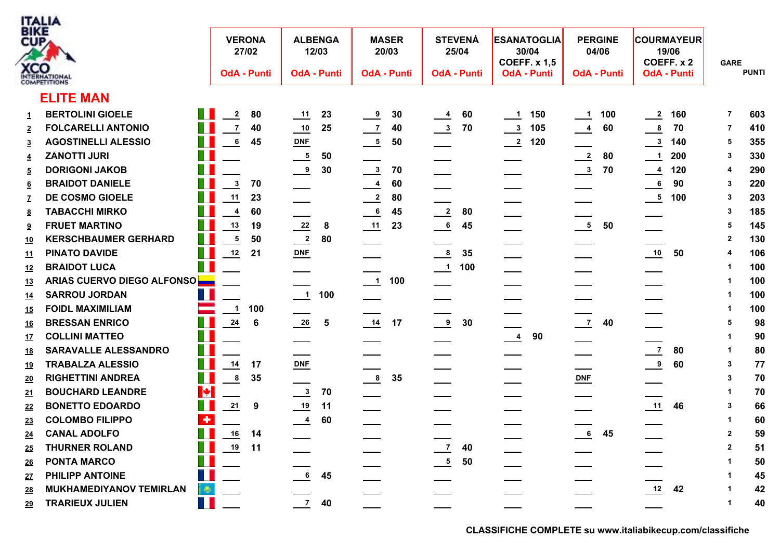

| 3 I K.E<br>CUP, |                                                    |                   | <b>VERONA</b><br>27/02      |                            | <b>ALBENGA</b><br>12/03 |                | <b>MASER</b><br>20/03 |                              | <b>STEVENÁ</b><br>25/04 |                      | <b>ESANATOGLIA</b><br>30/04<br><b>COEFF. x 1,5</b> | <b>PERGINE</b><br>04/06 |     |                          | <b>COURMAYEUR</b><br>19/06<br>COEFF. x 2 | <b>GARE</b>    |              |
|-----------------|----------------------------------------------------|-------------------|-----------------------------|----------------------------|-------------------------|----------------|-----------------------|------------------------------|-------------------------|----------------------|----------------------------------------------------|-------------------------|-----|--------------------------|------------------------------------------|----------------|--------------|
|                 | <b>CCO</b>                                         |                   | <b>OdA - Punti</b>          |                            | <b>OdA - Punti</b>      |                | <b>OdA - Punti</b>    |                              | <b>OdA - Punti</b>      |                      | <b>OdA - Punti</b>                                 | <b>OdA - Punti</b>      |     |                          | <b>OdA - Punti</b>                       |                | <b>PUNTI</b> |
|                 | <b>ELITE MAN</b>                                   |                   |                             |                            |                         |                |                       |                              |                         |                      |                                                    |                         |     |                          |                                          |                |              |
| 1               | <b>BERTOLINI GIOELE</b>                            | <b>The Second</b> | $\overline{2}$<br>80        |                            | 23                      | $\frac{9}{2}$  | 30                    | $\overline{\phantom{0}}^{4}$ | 60                      | $\frac{1}{2}$        | 150                                                | $\frac{1}{\sqrt{1}}$    | 100 | $\frac{2}{2}$            | 160                                      | $\overline{7}$ | 603          |
|                 | П<br><b>FOLCARELLI ANTONIO</b>                     |                   | $\overline{7}$<br>40        | $\frac{10}{1}$             | 25                      | $\frac{7}{2}$  | 40                    | $\frac{3}{2}$                | 70                      | $\frac{3}{2}$        | 105                                                | $\frac{4}{1}$           | 60  | $^{\circ}$               | 70                                       | 7              | 410          |
| $\overline{3}$  | T<br><b>AGOSTINELLI ALESSIO</b>                    |                   | $6\phantom{.}6$<br>45       | $DNF$                      |                         | $\frac{5}{2}$  | 50                    |                              |                         | $\frac{2}{\sqrt{2}}$ | 120                                                |                         |     | $\frac{3}{2}$            | 140                                      | 5              | 355          |
| $\overline{4}$  | T.<br><b>ZANOTTI JURI</b>                          |                   |                             | $\frac{5}{2}$              | 50                      |                |                       |                              |                         |                      |                                                    | $\frac{2}{2}$           | 80  | $\overline{\phantom{0}}$ | 200                                      | 3              | 330          |
| 5               | $\mathbb{R}^n$<br><b>DORIGONI JAKOB</b>            |                   |                             | $\frac{9}{2}$              | 30                      | $\frac{3}{2}$  | 70                    |                              |                         |                      |                                                    | $\frac{3}{2}$           | 70  |                          | $\frac{4}{120}$                          | 4              | 290          |
| $\underline{6}$ | <b>BRAIDOT DANIELE</b>                             |                   | $\mathbf{3}$<br>70          |                            |                         | $\frac{4}{1}$  | 60                    | __                           |                         |                      |                                                    |                         |     | 6                        | 90                                       | -3             | 220          |
|                 | DE COSMO GIOELE                                    |                   | 11<br>23                    |                            |                         | $\frac{2}{2}$  | 80                    |                              |                         | ____                 |                                                    |                         |     | $\frac{5}{100}$ 100      |                                          | 3              | 203          |
| <u>8</u>        | <b>TABACCHI MIRKO</b>                              |                   | 4<br>60                     |                            |                         | $\frac{6}{1}$  | 45                    | $\frac{2}{\sqrt{2}}$         | 80                      |                      |                                                    |                         |     |                          |                                          | 3              | 185          |
| 9               | <b>FRUET MARTINO</b>                               |                   | 13<br>19                    | $\frac{22}{2}$             | 8                       | $\frac{11}{1}$ | 23                    | $\frac{6}{1}$                | 45                      |                      |                                                    | $\frac{5}{2}$           | 50  |                          |                                          | 5              | 145          |
| <u> 10</u>      | <b>KERSCHBAUMER GERHARD</b>                        |                   | ${\bf 5}$<br>50             | $\frac{2}{2}$              | 80                      |                |                       |                              |                         |                      |                                                    |                         |     |                          |                                          | $\mathbf{2}$   | 130          |
| <u> 11</u>      | T.<br><b>PINATO DAVIDE</b>                         |                   | 12<br>21                    | $\underline{\text{DNF}}$   |                         |                |                       | $\frac{8}{1}$                | 35                      |                      |                                                    |                         |     | $\overline{10}$          | 50                                       | 4              | 106          |
| <u> 12</u>      | H<br><b>BRAIDOT LUCA</b>                           |                   |                             |                            |                         |                |                       | $\frac{1}{\sqrt{1}}$         | 100                     |                      |                                                    |                         |     |                          |                                          |                | 100          |
| <u> 13</u>      | ARIAS CUERVO DIEGO ALFONSO                         |                   |                             |                            |                         |                |                       |                              |                         |                      |                                                    |                         |     |                          |                                          |                | 100          |
| <u> 14</u>      | T.<br><b>SARROU JORDAN</b>                         |                   |                             |                            | $\frac{1}{1}$ 100       |                |                       |                              |                         |                      |                                                    |                         |     |                          |                                          |                | 100          |
| <u> 15</u>      | <b>FOIDL MAXIMILIAM</b>                            |                   | 100<br>$\blacktriangleleft$ |                            |                         |                |                       |                              |                         |                      |                                                    |                         |     |                          |                                          |                | 100          |
| <u> 16</u>      | <b>BRESSAN ENRICO</b>                              | <b>The St</b>     | $\frac{24}{1}$<br>6         | $\frac{26}{1}$             | $\overline{\mathbf{5}}$ | 14             | 17                    | $\frac{9}{2}$                | 30                      |                      |                                                    | $\frac{7}{2}$           | 40  |                          |                                          | 5              | 98           |
| <u> 17</u>      | H<br><b>COLLINI MATTEO</b>                         |                   |                             |                            |                         |                |                       |                              |                         | $\frac{4}{1}$        | 90                                                 |                         |     |                          |                                          |                | 90           |
| <u> 18</u>      | T.<br>SARAVALLE ALESSANDRO                         |                   |                             |                            |                         |                |                       |                              |                         |                      |                                                    |                         |     | $\overline{7}$           | 80                                       |                | 80           |
| <u> 19</u>      | Ш<br><b>TRABALZA ALESSIO</b>                       |                   | $14$<br>17                  | $DNF$                      |                         |                |                       |                              |                         |                      |                                                    |                         |     | $\frac{9}{2}$            | 60                                       | -3             | 77           |
| <u> 20</u>      | T.<br><b>RIGHETTINI ANDREA</b>                     |                   | $\bf8$<br>35                |                            |                         | $\frac{8}{2}$  | 35                    |                              |                         |                      |                                                    | DNE                     |     |                          |                                          | 3              | 70           |
| <u>21</u>       | <b>IX</b><br><b>BOUCHARD LEANDRE</b>               |                   |                             | $\frac{3}{2}$              | 70                      |                |                       |                              |                         |                      |                                                    |                         |     |                          |                                          |                | 70           |
| <u>22</u>       | T.<br><b>BONETTO EDOARDO</b>                       |                   | 21<br>$\boldsymbol{9}$      | $\frac{19}{1}$             | $-11$                   |                |                       |                              |                         |                      |                                                    |                         |     | 11                       | 46                                       | 3              | 66           |
| <u> 23</u>      | $\overline{\phantom{a}}$<br><b>COLOMBO FILIPPO</b> |                   |                             | $\frac{4}{1}$              | 60                      |                |                       |                              |                         |                      |                                                    |                         |     |                          |                                          |                | 60           |
| <u> 24</u>      | Ш<br><b>CANAL ADOLFO</b>                           |                   | $\frac{16}{1}$<br>14        |                            |                         |                |                       |                              |                         |                      |                                                    | $\frac{6}{1}$           | 45  |                          |                                          | $\mathbf{2}$   | 59           |
| <u> 25</u>      | T.<br><b>THURNER ROLAND</b>                        |                   | <u>19</u><br>11             |                            |                         |                |                       | $\frac{7}{2}$                | 40                      |                      |                                                    |                         |     |                          |                                          | $\mathbf{2}$   | 51           |
| <u> 26</u>      | Ш<br><b>PONTA MARCO</b>                            |                   |                             |                            |                         |                |                       | $\frac{5}{2}$                | 50                      |                      |                                                    |                         |     |                          |                                          |                | 50           |
| <u> 27</u>      | H<br>PHILIPP ANTOINE                               |                   |                             | $\overline{\phantom{0}}$ 6 | 45                      |                |                       |                              |                         |                      |                                                    |                         |     |                          |                                          |                | 45           |
| <u>28</u>       | <b>MUKHAMEDIYANOV TEMIRLAN</b>                     | $\oplus$          |                             |                            |                         |                |                       |                              |                         |                      |                                                    |                         |     | 12                       | 42                                       |                | 42           |
| <u> 29</u>      | H<br><b>TRARIEUX JULIEN</b>                        |                   |                             | $\overline{7}$             | 40                      |                |                       |                              |                         |                      |                                                    |                         |     |                          |                                          | 1              | 40           |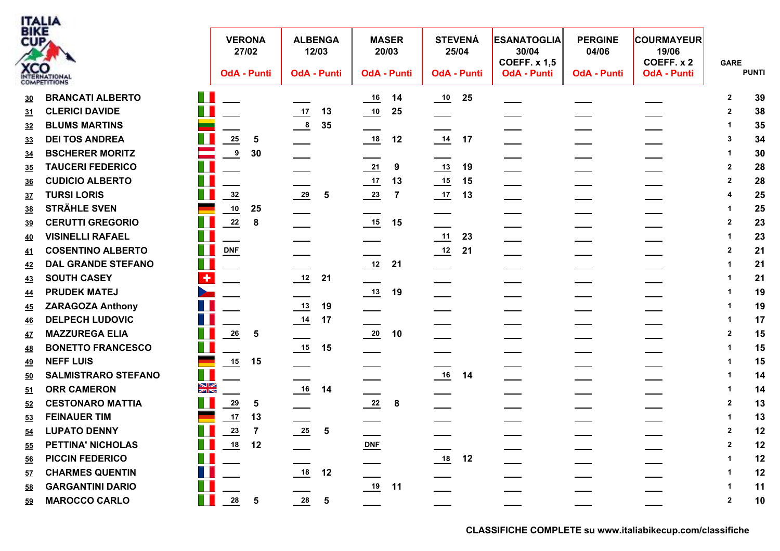

| BIKE<br>CUP, | <b>XCO</b><br>NTERNATIONAL |                            | <b>VERONA</b><br><b>OdA - Punti</b> | 27/02          | <b>ALBENGA</b><br>12/03<br><b>OdA - Punti</b> |                         | <b>MASER</b><br>20/03<br><b>OdA - Punti</b> |                | <b>STEVENÁ</b><br>25/04    | <b>OdA - Punti</b> | <b>ESANATOGLIA</b><br>30/04<br><b>COEFF. x 1,5</b><br><b>OdA - Punti</b> | <b>PERGINE</b><br>04/06<br><b>OdA - Punti</b> | <b>COURMAYEUR</b><br>19/06<br>COEFF. x 2<br><b>OdA - Punti</b> | <b>GARE</b>  | <b>PUNTI</b> |
|--------------|----------------------------|----------------------------|-------------------------------------|----------------|-----------------------------------------------|-------------------------|---------------------------------------------|----------------|----------------------------|--------------------|--------------------------------------------------------------------------|-----------------------------------------------|----------------------------------------------------------------|--------------|--------------|
| 30           | <b>BRANCATI ALBERTO</b>    | n.                         |                                     |                |                                               |                         | $\frac{16}{1}$                              | 14             | $\overline{\phantom{0}10}$ | 25                 |                                                                          |                                               |                                                                | $\mathbf{2}$ | 39           |
| <u>31</u>    | <b>CLERICI DAVIDE</b>      | T J                        |                                     |                | $\frac{17}{1}$                                | 13                      | $\overline{10}$                             | 25             |                            |                    |                                                                          |                                               |                                                                | $\mathbf{2}$ | 38           |
| <u>32</u>    | <b>BLUMS MARTINS</b>       | $\mathbb{Z}$               |                                     |                | $\frac{8}{1}$                                 | 35                      |                                             |                |                            |                    |                                                                          |                                               |                                                                |              | 35           |
| 33           | <b>DEI TOS ANDREA</b>      |                            | ${\bf 25}$                          | 5              |                                               |                         | 18                                          | 12             | $\frac{14}{1}$             | 17                 |                                                                          |                                               |                                                                | 3            | 34           |
| <u>34</u>    | <b>BSCHERER MORITZ</b>     | $\mathcal{L}$              | $\boldsymbol{9}$                    | 30             |                                               |                         |                                             |                |                            |                    |                                                                          |                                               |                                                                |              | 30           |
| <u>35</u>    | <b>TAUCERI FEDERICO</b>    | T.                         |                                     |                |                                               |                         | $\frac{21}{2}$                              | 9              | $\frac{13}{2}$             | 19                 | $\overline{\phantom{a}}$                                                 |                                               |                                                                | $\mathbf{2}$ | 28           |
| <u>36</u>    | <b>CUDICIO ALBERTO</b>     | T J                        |                                     |                |                                               |                         | $\frac{17}{1}$                              | 13             | $\frac{15}{2}$             | 15                 |                                                                          |                                               |                                                                | $\mathbf{2}$ | 28           |
| 37           | <b>TURSI LORIS</b>         | H                          | $\frac{32}{2}$                      |                | $\frac{29}{2}$                                | 5                       | $\frac{23}{2}$                              | $\overline{7}$ |                            | 13                 | ___                                                                      |                                               |                                                                |              | 25           |
| <u>38</u>    | <b>STRÄHLE SVEN</b>        | -                          | 10                                  | 25             |                                               |                         |                                             |                |                            |                    |                                                                          |                                               |                                                                |              | 25           |
| <u>39</u>    | <b>CERUTTI GREGORIO</b>    | T I                        | 22                                  | 8              |                                               |                         | $\underline{\phantom{0}15}$                 | 15             |                            |                    |                                                                          |                                               |                                                                | 2            | 23           |
| <u>40</u>    | <b>VISINELLI RAFAEL</b>    | T.                         |                                     |                |                                               |                         |                                             |                | 11                         | 23                 |                                                                          |                                               |                                                                |              | 23           |
| <u>41</u>    | <b>COSENTINO ALBERTO</b>   | H.                         | DNF                                 |                |                                               |                         |                                             |                | $\frac{12}{2}$             | 21                 |                                                                          |                                               |                                                                | $\mathbf{2}$ | 21           |
| <u>42</u>    | <b>DAL GRANDE STEFANO</b>  | T I                        |                                     |                |                                               |                         | 12                                          | 21             |                            |                    |                                                                          |                                               |                                                                |              | 21           |
| 43           | <b>SOUTH CASEY</b>         | ÷                          |                                     |                | 12                                            | 21                      |                                             |                |                            |                    |                                                                          |                                               |                                                                |              | 21           |
| <u>44</u>    | <b>PRUDEK MATEJ</b>        | $\geq$                     |                                     |                |                                               |                         | $\frac{13}{2}$                              | 19             |                            |                    |                                                                          |                                               |                                                                |              | 19           |
| <u>45</u>    | <b>ZARAGOZA Anthony</b>    |                            |                                     |                | $\frac{13}{2}$                                | 19                      |                                             |                |                            |                    |                                                                          |                                               |                                                                |              | 19           |
| <u>46</u>    | <b>DELPECH LUDOVIC</b>     | Ш                          |                                     |                | $\frac{14}{1}$                                | 17                      |                                             |                |                            |                    |                                                                          |                                               |                                                                | 1            | 17           |
| <u>47</u>    | <b>MAZZUREGA ELIA</b>      | H.                         | $\frac{26}{1}$                      | 5              |                                               |                         | $\frac{20}{1}$                              | 10             |                            |                    |                                                                          |                                               |                                                                | $\mathbf{2}$ | 15           |
| <u>48</u>    | <b>BONETTO FRANCESCO</b>   | m a                        |                                     |                | 15                                            | 15                      |                                             |                |                            |                    |                                                                          | ____                                          |                                                                |              | 15           |
| <u>49</u>    | <b>NEFF LUIS</b>           | <b>Barnett St</b>          | 15                                  | 15             |                                               |                         |                                             |                |                            |                    |                                                                          |                                               |                                                                |              | 15           |
| <u>50</u>    | <b>SALMISTRARO STEFANO</b> | a ka                       |                                     |                |                                               |                         |                                             |                | $\frac{16}{1}$             | 14                 |                                                                          |                                               |                                                                |              | 14           |
| <u>51</u>    | <b>ORR CAMERON</b>         | $\frac{N}{N}$              |                                     |                | 16                                            | 14                      |                                             |                |                            |                    |                                                                          |                                               |                                                                |              | 14           |
| 52           | <b>CESTONARO MATTIA</b>    | H                          | 29                                  | ${\bf 5}$      |                                               |                         | $\frac{22}{2}$                              | 8              |                            |                    |                                                                          |                                               |                                                                | $\mathbf{2}$ | 13           |
| 53           | <b>FEINAUER TIM</b>        | $\overline{\phantom{a}}$   | $17$                                | 13             |                                               |                         |                                             |                |                            |                    |                                                                          |                                               |                                                                | 1            | 13           |
| <u>54</u>    | <b>LUPATO DENNY</b>        | H                          | 23                                  | $\overline{7}$ | $\frac{25}{1}$                                | $\overline{\mathbf{5}}$ |                                             |                |                            |                    |                                                                          |                                               |                                                                | $\mathbf{2}$ | 12           |
| 55           | <b>PETTINA' NICHOLAS</b>   | T.                         | $\underline{\mathbf{18}}$           | 12             |                                               |                         | $\underline{\text{DNF}}$                    |                |                            |                    |                                                                          |                                               |                                                                |              | 12           |
| <u>56</u>    | <b>PICCIN FEDERICO</b>     | $\mathcal{L}^{\text{max}}$ |                                     |                |                                               |                         |                                             |                | $\frac{18}{1}$             | 12                 |                                                                          |                                               |                                                                |              | 12           |
| <u>57</u>    | <b>CHARMES QUENTIN</b>     |                            |                                     |                | 18                                            | 12                      |                                             |                |                            |                    |                                                                          |                                               |                                                                |              | 12           |
| 58           | <b>GARGANTINI DARIO</b>    |                            |                                     |                |                                               |                         | 19 11                                       |                |                            |                    |                                                                          |                                               |                                                                |              | 11           |
| <u>59</u>    | <b>MAROCCO CARLO</b>       | H.                         | 28                                  | ${\bf 5}$      | $\frac{28}{1}$                                | 5                       |                                             |                |                            |                    |                                                                          |                                               |                                                                | $\mathbf{2}$ | 10           |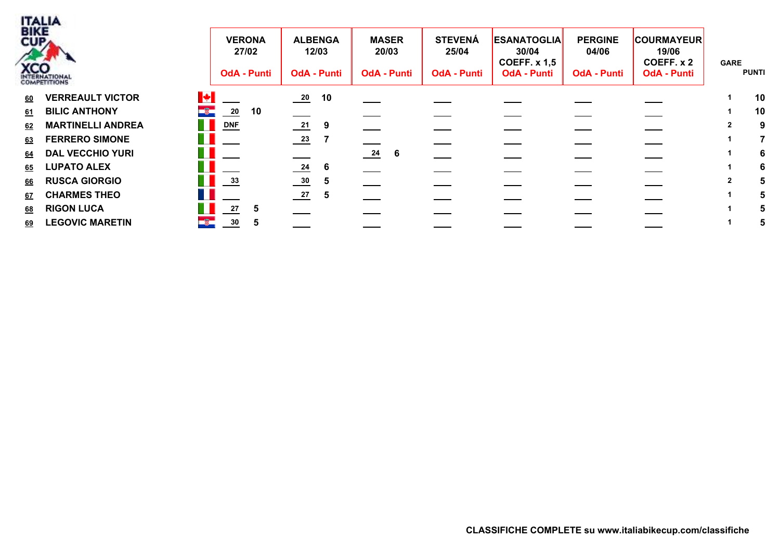

| <br>3IKE<br>$\mathsf{U}\mathsf{P}_{\mathcal{A}}$<br><b>CO</b> | <b>VERONA</b><br>27/02<br><b>OdA - Punti</b> | <b>ALBENGA</b><br>12/03<br><b>OdA - Punti</b> | <b>MASER</b><br>20/03<br><b>OdA - Punti</b> | <b>STEVENÁ</b><br>25/04<br><b>OdA - Punti</b> | <b>ESANATOGLIA</b><br>30/04<br><b>COEFF. x 1,5</b><br><b>OdA - Punti</b> | <b>PERGINE</b><br>04/06<br><b>OdA - Punti</b> | <b>COURMAYEUR</b><br>19/06<br>COEFF. x 2<br><b>OdA - Punti</b> | <b>GARE</b><br><b>PUNTI</b> |   |
|---------------------------------------------------------------|----------------------------------------------|-----------------------------------------------|---------------------------------------------|-----------------------------------------------|--------------------------------------------------------------------------|-----------------------------------------------|----------------------------------------------------------------|-----------------------------|---|
| <b>VERREAULT VICTOR</b><br><u>60</u>                          | 图                                            | 10<br>$\frac{20}{1}$                          |                                             |                                               |                                                                          |                                               |                                                                | 10                          |   |
| 61 BILIC ANTHONY                                              | ×,<br>20<br>10                               |                                               |                                             |                                               |                                                                          |                                               |                                                                | 10                          |   |
| 62 MARTINELLI ANDREA                                          | H.<br>$DNF$                                  | $\frac{21}{2}$<br>- 9                         |                                             |                                               |                                                                          |                                               |                                                                |                             | 9 |
| 63 FERRERO SIMONE                                             |                                              | $\frac{23}{2}$                                |                                             |                                               |                                                                          |                                               |                                                                |                             |   |
| 64 DAL VECCHIO YURI                                           |                                              |                                               | $\frac{24}{1}$<br>6                         |                                               |                                                                          |                                               |                                                                |                             | 6 |
| 65 LUPATO ALEX                                                |                                              | $\frac{24}{1}$<br>-6                          |                                             |                                               |                                                                          |                                               |                                                                |                             | 6 |
| 66 RUSCA GIORGIO                                              | a ka<br>$\frac{33}{2}$                       | $\frac{30}{2}$<br>5                           |                                             |                                               |                                                                          |                                               |                                                                |                             |   |
| <b>CHARMES THEO</b><br>67                                     |                                              | $\frac{27}{2}$<br>$\mathbf{5}$                |                                             |                                               |                                                                          |                                               |                                                                |                             |   |
| <b>RIGON LUCA</b><br><u>68</u>                                | 27                                           |                                               |                                             |                                               |                                                                          |                                               |                                                                |                             |   |
| 69 LEGOVIC MARETIN                                            | $\mathcal{L}$<br>30 <sub>o</sub>             |                                               |                                             |                                               |                                                                          |                                               |                                                                |                             |   |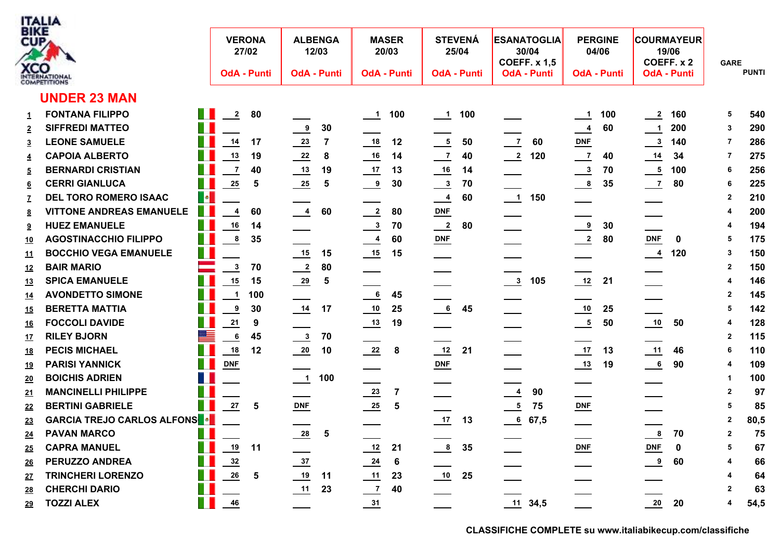

| <br>대          | CO                                |                |                           | <b>VERONA</b><br>27/02  |                          | <b>ALBENGA</b><br>12/03 |                            | <b>MASER</b><br>20/03   |                      | <b>STEVENÁ</b><br>25/04 | <b>ESANATOGLIA</b><br>30/04<br><b>COEFF. x 1,5</b> |           | <b>PERGINE</b><br>04/06    |     | 19/06                     | <b>COURMAYEUR</b><br>COEFF. x 2 | <b>GARE</b>  |              |
|----------------|-----------------------------------|----------------|---------------------------|-------------------------|--------------------------|-------------------------|----------------------------|-------------------------|----------------------|-------------------------|----------------------------------------------------|-----------|----------------------------|-----|---------------------------|---------------------------------|--------------|--------------|
|                | <b>OMPETITIONS</b>                |                |                           | <b>OdA - Punti</b>      |                          | <b>OdA - Punti</b>      |                            | <b>OdA - Punti</b>      |                      | <b>OdA - Punti</b>      | <b>OdA - Punti</b>                                 |           | <b>OdA - Punti</b>         |     |                           | <b>OdA - Punti</b>              |              | <b>PUNTI</b> |
|                | <b>UNDER 23 MAN</b>               |                |                           |                         |                          |                         |                            |                         |                      |                         |                                                    |           |                            |     |                           |                                 |              |              |
| 1              | <b>FONTANA FILIPPO</b>            | n ka           | $\overline{2}$            | 80                      |                          |                         | $\frac{1}{2}$              | 100                     | $\frac{1}{\sqrt{1}}$ | 100                     |                                                    |           | $\overline{\phantom{0}}$ 1 | 100 | $\overline{2}$            | 160                             | 5            | 540          |
|                | <b>SIFFREDI MATTEO</b>            | H              |                           |                         | $\frac{9}{2}$            | 30                      |                            |                         |                      |                         |                                                    |           | $\overline{\phantom{0}}$   | 60  | $\overline{\phantom{0}1}$ | 200                             | 3            | 290          |
| 3              | <b>LEONE SAMUELE</b>              | Ш              | $14$                      | 17                      | $\frac{23}{2}$           | $\overline{7}$          | 18                         | 12                      | $\frac{5}{2}$        | 50                      | $\overline{z}$                                     | 60        | DNF                        |     | $\frac{3}{2}$             | 140                             | 7            | 286          |
| 4              | <b>CAPOIA ALBERTO</b>             |                | $13$                      | 19                      | $\frac{22}{2}$           | 8                       | $\frac{16}{1}$             | 14                      | $\frac{7}{2}$        | 40                      | $\frac{2}{2}$                                      | 120       | $\frac{7}{2}$              | 40  | $\frac{14}{1}$            | 34                              | 7            | 275          |
| $\overline{5}$ | <b>BERNARDI CRISTIAN</b>          | П              | $\overline{7}$            | 40                      | $\frac{13}{2}$           | 19                      | $\frac{17}{1}$             | 13                      | $\frac{16}{1}$       | 14                      |                                                    |           | $\frac{3}{2}$              | 70  |                           | $\frac{5}{6}$ 100               | 6            | 256          |
| 6              | <b>CERRI GIANLUCA</b>             | T.             | $\frac{25}{1}$            | 5                       | $\frac{25}{1}$           | 5                       | $\frac{9}{2}$              | 30                      | $\frac{3}{2}$        | 70                      |                                                    |           | $\frac{8}{1}$              | 35  | $\frac{7}{2}$             | 80                              | 6            | 225          |
|                | <b>DEL TORO ROMERO ISAAC</b>      | $\blacksquare$ |                           |                         |                          |                         |                            |                         | $\frac{4}{1}$        | 60                      | $\frac{1}{\sqrt{1}}$                               | 150       |                            |     |                           |                                 | $\mathbf{2}$ | 210          |
| 8              | <b>VITTONE ANDREAS EMANUELE</b>   |                | 4                         | 60                      | $\frac{4}{1}$            | 60                      | $\frac{2}{2}$              | 80                      | $DNF$                |                         |                                                    |           |                            |     |                           |                                 |              | 200          |
| 9              | <b>HUEZ EMANUELE</b>              | Ш              | ${\bf 16}$                | 14                      |                          |                         | $\frac{3}{2}$              | 70                      | $\frac{2}{\sqrt{2}}$ | 80                      |                                                    |           | $\overline{\mathbf{e}}$    | 30  |                           |                                 |              | 194          |
| <u> 10</u>     | <b>AGOSTINACCHIO FILIPPO</b>      | Ш              | $\boldsymbol{8}$          | 35                      |                          |                         | $\frac{4}{1}$              | 60                      | $DNF$                |                         |                                                    |           | $\frac{2}{2}$              | 80  | <b>DNF</b>                | $\mathbf 0$                     | 5            | 175          |
| <u> 11</u>     | <b>BOCCHIO VEGA EMANUELE</b>      | E.             |                           |                         |                          | 15                      | $\frac{15}{1}$             | 15                      |                      |                         |                                                    |           |                            |     | $\frac{4}{120}$           |                                 | 3            | 150          |
| <u> 12</u>     | <b>BAIR MARIO</b>                 | ▀              | $\overline{\mathbf{3}}$   | 70                      | $\frac{2}{2}$            | 80                      |                            |                         |                      |                         |                                                    |           |                            |     |                           |                                 | $\mathbf{2}$ | 150          |
| <u> 13</u>     | <b>SPICA EMANUELE</b>             | Ш              | 15                        | 15                      | $\frac{29}{2}$           | 5                       |                            |                         |                      |                         | $\frac{3}{2}$                                      | 105       | 12                         | 21  |                           |                                 |              | 146          |
| <u> 14</u>     | <b>AVONDETTO SIMONE</b>           |                | $\overline{1}$            | 100                     |                          |                         | 6                          | 45                      |                      |                         |                                                    |           |                            |     |                           |                                 | $\mathbf{2}$ | 145          |
| <u> 15</u>     | <b>BERETTA MATTIA</b>             | T.             | 9                         | 30                      | 14                       | 17                      | $\overline{\phantom{0}10}$ | 25                      | 6                    | 45                      |                                                    |           |                            | 25  |                           |                                 | 5            | 142          |
| <u> 16</u>     | <b>FOCCOLI DAVIDE</b>             | T.             | $\frac{21}{1}$            | $\boldsymbol{9}$        |                          |                         | $\frac{13}{2}$             | 19                      |                      |                         |                                                    |           | $\frac{5}{1}$              | 50  | $\overline{10}$           | 50                              | 4            | 128          |
| <u> 17</u>     | <b>RILEY BJORN</b>                | ▆▆             | $6\phantom{1}$            | 45                      | $\frac{3}{2}$            | 70                      |                            |                         |                      |                         |                                                    |           |                            |     |                           |                                 | $\mathbf{2}$ | 115          |
| <u> 18</u>     | <b>PECIS MICHAEL</b>              | Ш              | $\underline{\mathbf{18}}$ | 12                      | $\frac{20}{1}$           | 10                      | 22                         | 8                       | $\frac{12}{1}$       | 21                      |                                                    |           | 17                         | 13  | 11                        | 46                              | 6            | 110          |
| <u> 19</u>     | <b>PARISI YANNICK</b>             | H.             | <b>DNF</b>                |                         |                          |                         |                            |                         | $DNF$                |                         |                                                    |           | $\frac{13}{2}$             | 19  | $\frac{6}{1}$             | 90                              | 4            | 109          |
| <u> 20</u>     | <b>BOICHIS ADRIEN</b>             | Ш              |                           |                         | $\overline{\phantom{a}}$ | 100                     |                            |                         |                      |                         |                                                    |           |                            |     |                           |                                 |              | 100          |
| <u> 21</u>     | <b>MANCINELLI PHILIPPE</b>        |                |                           |                         |                          |                         | $\frac{23}{2}$             | $\overline{7}$          |                      |                         | $\frac{4}{1}$                                      | 90        |                            |     |                           |                                 | $\mathbf{2}$ | 97           |
| 22             | <b>BERTINI GABRIELE</b>           | H              | ${\bf 27}$                | 5                       | $DNF$                    |                         | $\frac{25}{2}$             | $\overline{\mathbf{5}}$ |                      |                         | $\overline{\phantom{a}}^5$                         | 75        | $DNF$                      |     |                           |                                 | 5            | 85           |
| <u>23</u>      | <b>GARCIA TREJO CARLOS ALFONS</b> |                |                           |                         |                          |                         |                            |                         | $\frac{17}{2}$       | 13                      | 67,5                                               |           |                            |     |                           |                                 | $\mathbf{2}$ | 80,5         |
| <u> 24</u>     | <b>PAVAN MARCO</b>                | T.             |                           |                         | $\frac{28}{1}$           | 5                       |                            |                         |                      |                         |                                                    |           |                            |     | $\boldsymbol{8}$          | 70                              | $\mathbf{2}$ | 75           |
| <u> 25</u>     | <b>CAPRA MANUEL</b>               | $\mathbb{R}^n$ | 19                        | 11                      |                          |                         | $\frac{12}{1}$             | 21                      | $\frac{8}{1}$        | 35                      |                                                    |           | $DNF$                      |     | $DNF$                     | 0                               | 5            | 67           |
| <u> 26</u>     | PERUZZO ANDREA                    | Ш              | $\frac{32}{2}$            |                         | $\frac{37}{2}$           |                         | $\frac{24}{1}$             | $6\phantom{1}6$         |                      |                         |                                                    |           |                            |     | $\overline{\bullet}$      | 60                              | 4            | 66           |
| <u> 27</u>     | <b>TRINCHERI LORENZO</b>          | E.             | ${\bf 26}$                | $\overline{\mathbf{5}}$ | 19                       | 11                      | $\frac{11}{1}$             | 23                      |                      | 25                      |                                                    |           |                            |     |                           |                                 |              | 64           |
| <u>28</u>      | <b>CHERCHI DARIO</b>              | T.             |                           |                         | 11                       | 23                      | $\frac{7}{2}$              | 40                      |                      |                         |                                                    |           |                            |     |                           |                                 |              | 63           |
| 29             | <b>TOZZI ALEX</b>                 | Ш              | 46                        |                         |                          |                         | 31                         |                         |                      |                         |                                                    | 11, 34, 5 |                            |     | 20                        | 20                              | 4            | 54,5         |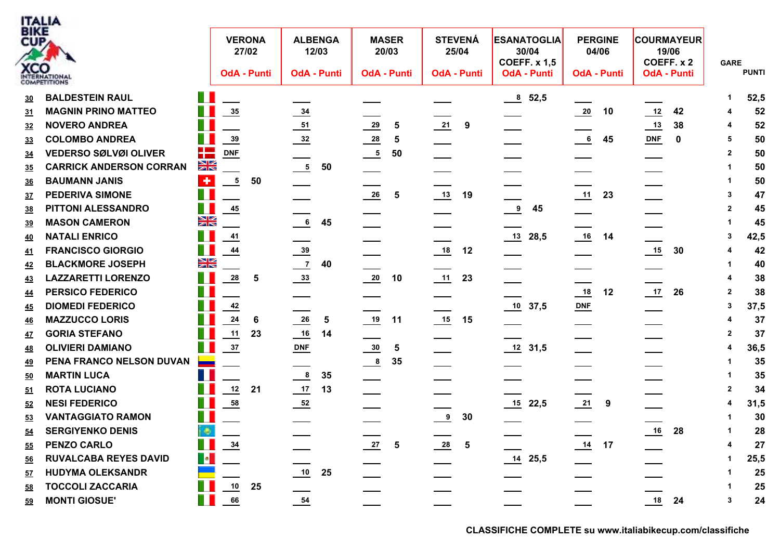

| BIKE<br>CUP | <b>XCO</b><br>INTERNATIONAL<br><b>COMPETITIONS</b> |                             | <b>VERONA</b><br>27/02<br><b>OdA - Punti</b> |                         | <b>ALBENGA</b><br>12/03<br><b>OdA - Punti</b> | <b>MASER</b><br>20/03<br><b>OdA - Punti</b> |            |                | <b>STEVENÁ</b><br>25/04<br><b>OdA - Punti</b> |               | <b>ESANATOGLIA</b><br>30/04<br><b>COEFF. x 1,5</b><br><b>OdA - Punti</b> | <b>PERGINE</b><br>04/06<br><b>OdA - Punti</b> |                  |                | <b>COURMAYEUR</b><br>19/06<br>COEFF. x 2<br><b>OdA - Punti</b> | <b>GARE</b> | <b>PUNTI</b> |
|-------------|----------------------------------------------------|-----------------------------|----------------------------------------------|-------------------------|-----------------------------------------------|---------------------------------------------|------------|----------------|-----------------------------------------------|---------------|--------------------------------------------------------------------------|-----------------------------------------------|------------------|----------------|----------------------------------------------------------------|-------------|--------------|
| <u>30</u>   | <b>BALDESTEIN RAUL</b>                             |                             |                                              |                         |                                               |                                             |            |                |                                               |               | 8, 52, 5                                                                 |                                               |                  |                |                                                                |             | 52,5         |
| 31          | <b>MAGNIN PRINO MATTEO</b>                         |                             | $\frac{35}{2}$                               | $\frac{34}{1}$          |                                               |                                             |            |                |                                               |               |                                                                          | 20                                            | 10               | 12             | 42                                                             |             | 52           |
| <u>32</u>   | <b>NOVERO ANDREA</b>                               |                             |                                              | $\frac{51}{1}$          |                                               | $\frac{29}{2}$                              | 5          | $\frac{21}{2}$ | 9                                             |               |                                                                          |                                               |                  | 13             | 38                                                             |             | 52           |
| <u>33</u>   | <b>COLOMBO ANDREA</b>                              |                             | $\frac{39}{2}$                               | $\frac{32}{2}$          |                                               | $\frac{28}{1}$                              | $\sqrt{5}$ |                |                                               |               |                                                                          | 6                                             | 45               | DNF            | $\mathbf 0$                                                    | 5           | 50           |
| <u>34</u>   | <b>VEDERSO SØLVØI OLIVER</b>                       | H                           | DNF                                          |                         |                                               | $\frac{5}{1}$                               | 50         |                |                                               |               |                                                                          |                                               |                  |                |                                                                | 2           | 50           |
| <u>35</u>   | <b>CARRICK ANDERSON CORRAN</b>                     | $\frac{\sum x_i}{\sum x_i}$ |                                              | $\frac{5}{1}$           | 50                                            |                                             |            |                |                                               |               |                                                                          |                                               |                  |                |                                                                |             | 50           |
| <u>36</u>   | <b>BAUMANN JANIS</b>                               | $\overline{+}$              | $\overline{5}$<br>50                         |                         |                                               |                                             |            |                |                                               |               |                                                                          |                                               |                  |                |                                                                |             | 50           |
| <u>37</u>   | <b>PEDERIVA SIMONE</b>                             | T I                         |                                              |                         |                                               | $\frac{26}{1}$                              | $\sqrt{5}$ | 13             | 19                                            |               |                                                                          | 11                                            | 23               |                |                                                                |             | 47           |
| 38          | PITTONI ALESSANDRO                                 | a k                         | $\frac{45}{1}$                               |                         |                                               |                                             |            |                |                                               | $\frac{9}{2}$ | 45                                                                       |                                               |                  |                |                                                                | 2           | 45           |
| <u>39</u>   | <b>MASON CAMERON</b>                               | $\frac{N}{N}$               |                                              | $\underline{6}$         | 45                                            |                                             |            |                |                                               |               |                                                                          |                                               |                  |                |                                                                |             | 45           |
| <u>40</u>   | <b>NATALI ENRICO</b>                               |                             | $\underline{41}$                             |                         |                                               |                                             |            |                |                                               |               | $13$ 28,5                                                                | 16                                            | 14               |                |                                                                | 3           | 42,5         |
| <u>41</u>   | <b>FRANCISCO GIORGIO</b>                           | M.                          | $\frac{44}{1}$                               | $\frac{39}{2}$          |                                               |                                             |            | 18             | 12                                            |               |                                                                          |                                               |                  |                | 30                                                             |             | 42           |
| <u>42</u>   | <b>BLACKMORE JOSEPH</b>                            | <u>NK</u>                   |                                              | $\frac{7}{2}$           | 40                                            |                                             |            |                |                                               |               |                                                                          |                                               |                  |                |                                                                |             | 40           |
| <u>43</u>   | <b>LAZZARETTI LORENZO</b>                          |                             | $\frac{28}{1}$<br>5                          | $\frac{33}{2}$          |                                               | $\frac{20}{2}$                              | 10         |                | 23                                            |               |                                                                          |                                               |                  |                |                                                                |             | 38           |
| <u>44</u>   | <b>PERSICO FEDERICO</b>                            |                             |                                              |                         |                                               |                                             |            |                |                                               |               |                                                                          | $\frac{18}{1}$                                | 12               | $\frac{17}{2}$ | 26                                                             | 2           | 38           |
| <u>45</u>   | <b>DIOMEDI FEDERICO</b>                            |                             | 42                                           |                         |                                               |                                             |            |                |                                               |               | 10, 37, 5                                                                | <b>DNF</b>                                    |                  |                |                                                                | 3           | 37,5         |
| <u>46</u>   | <b>MAZZUCCO LORIS</b>                              |                             | 24<br>$6\phantom{1}6$                        | $\frac{26}{1}$          | $\overline{\mathbf{5}}$                       |                                             | 11         |                | 15                                            |               |                                                                          |                                               |                  |                |                                                                |             | 37           |
| <u>47</u>   | <b>GORIA STEFANO</b>                               |                             | 11<br>23                                     | $\underline{\qquad 16}$ | 14                                            |                                             |            |                |                                               |               |                                                                          |                                               |                  |                |                                                                | 2           | 37           |
| <u>48</u>   | <b>OLIVIERI DAMIANO</b>                            | Ш                           | 37                                           | <b>DNF</b>              |                                               | $\frac{30}{2}$                              | 5          |                |                                               |               | $12$ 31,5                                                                |                                               |                  |                |                                                                |             | 36,5         |
| 49          | PENA FRANCO NELSON DUVAN                           | ▄                           |                                              |                         |                                               | $\frac{8}{2}$                               | 35         |                |                                               |               |                                                                          |                                               |                  |                |                                                                |             | 35           |
| <u>50</u>   | <b>MARTIN LUCA</b>                                 |                             |                                              | $\frac{8}{1}$           | 35                                            |                                             |            |                |                                               |               |                                                                          |                                               |                  |                |                                                                |             | 35           |
| 51          | <b>ROTA LUCIANO</b>                                |                             | $12$<br>21                                   | $\frac{17}{1}$          | 13                                            |                                             |            |                |                                               |               |                                                                          |                                               |                  |                |                                                                | 2           | 34           |
| 52          | <b>NESI FEDERICO</b>                               |                             | $\frac{58}{5}$                               | $\frac{52}{1}$          |                                               |                                             |            |                |                                               |               | $15$ 22,5                                                                | 21                                            | $\boldsymbol{9}$ |                |                                                                |             | 31,5         |
| 53          | <b>VANTAGGIATO RAMON</b>                           |                             |                                              |                         |                                               |                                             |            | $^{9}$         | 30                                            |               |                                                                          |                                               |                  |                |                                                                |             | 30           |
| <u>54</u>   | <b>SERGIYENKO DENIS</b>                            | i⊕,                         |                                              |                         |                                               |                                             |            |                |                                               |               |                                                                          |                                               |                  | 16             | 28                                                             |             | 28           |
| <u>55</u>   | <b>PENZO CARLO</b>                                 |                             | $\frac{34}{1}$                               |                         |                                               | $\frac{27}{2}$                              | 5          | 28             | $\sqrt{5}$                                    |               |                                                                          | $\frac{14}{1}$                                | 17               |                |                                                                |             | 27           |
| <u>56</u>   | <b>RUVALCABA REYES DAVID</b>                       | $\blacksquare$              |                                              |                         |                                               |                                             |            |                |                                               |               | $14$ 25,5                                                                |                                               |                  |                |                                                                |             | 25,5         |
| <u>57</u>   | <b>HUDYMA OLEKSANDR</b>                            |                             |                                              | 10                      | 25                                            |                                             |            |                |                                               |               |                                                                          |                                               |                  |                |                                                                |             | 25           |
| 58          | <b>TOCCOLI ZACCARIA</b>                            |                             | 10<br>25                                     |                         |                                               |                                             |            |                |                                               |               |                                                                          |                                               |                  |                |                                                                |             | 25           |
| 59          | <b>MONTI GIOSUE'</b>                               |                             | 66                                           | 54                      |                                               |                                             |            |                |                                               |               |                                                                          |                                               |                  | 18             | 24                                                             | 3           | 24           |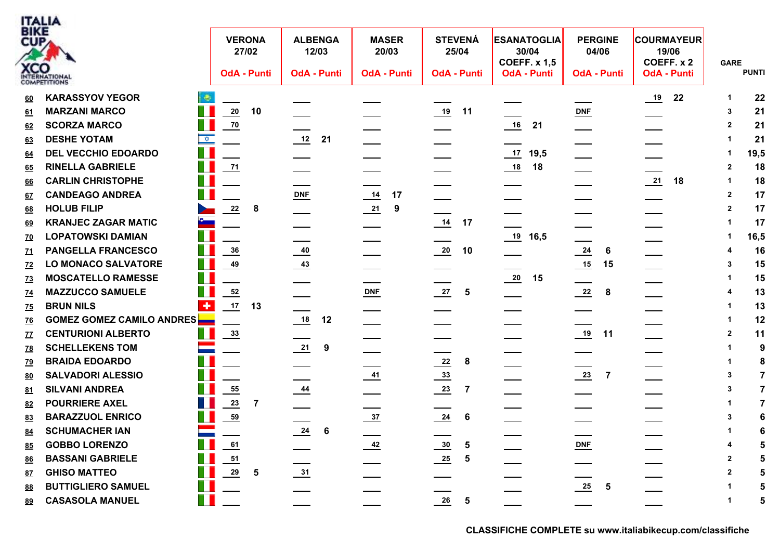

| BIKE<br>CUP      |                                  |                        | <b>VERONA</b><br>27/02 |                |                | <b>ALBENGA</b><br>12/03 | <b>MASER</b><br>20/03 | <b>STEVENÁ</b><br>25/04          | <b>ESANATOGLIA</b><br>30/04<br><b>COEFF. x 1,5</b> | <b>PERGINE</b><br>04/06          | <b>COURMAYEUR</b><br>19/06<br>COEFF. x 2 | <b>GARE</b>    |                |
|------------------|----------------------------------|------------------------|------------------------|----------------|----------------|-------------------------|-----------------------|----------------------------------|----------------------------------------------------|----------------------------------|------------------------------------------|----------------|----------------|
|                  | <b>XCO</b><br>INTERNATIONAL      |                        | <b>OdA - Punti</b>     |                |                | <b>OdA - Punti</b>      | <b>OdA - Punti</b>    | <b>OdA - Punti</b>               | <b>OdA - Punti</b>                                 | <b>OdA - Punti</b>               | <b>OdA - Punti</b>                       |                | <b>PUNTI</b>   |
| 60               | <b>KARASSYOV YEGOR</b>           |                        |                        |                |                |                         |                       |                                  |                                                    |                                  | $\frac{19}{2}$<br>22                     | 1              | 22             |
| 61               | <b>MARZANI MARCO</b>             |                        | 20                     | 10             |                |                         |                       | 19<br>11                         |                                                    | <b>DNF</b>                       |                                          | 3              | 21             |
| <u>62</u>        | <b>SCORZA MARCO</b>              |                        | $\frac{70}{ }$         |                |                |                         |                       |                                  | $\underline{\qquad 16}$<br>21                      | $\sim$                           |                                          | $\mathbf{2}$   | 21             |
| 63               | <b>DESHE YOTAM</b>               | █                      |                        |                | 12             | 21                      |                       |                                  |                                                    |                                  |                                          |                | 21             |
| 64               | <b>DEL VECCHIO EDOARDO</b>       |                        |                        |                |                |                         |                       |                                  | 17<br>19,5                                         |                                  |                                          |                | 19,5           |
| 65               | П<br><b>RINELLA GABRIELE</b>     |                        | 71                     |                |                |                         |                       |                                  | 18                                                 |                                  |                                          | $\mathbf{2}$   | 18             |
| 66               | <b>CARLIN CHRISTOPHE</b>         |                        |                        |                |                |                         |                       |                                  |                                                    |                                  | 21<br>18                                 | 1              | 18             |
| 67               | <b>CANDEAGO ANDREA</b>           |                        |                        |                | DNF            |                         | $\frac{14}{1}$<br>17  |                                  |                                                    |                                  |                                          | $\mathbf{2}$   | 17             |
| 68               | <b>HOLUB FILIP</b>               |                        | 22                     | 8              |                |                         | 21<br>9               |                                  |                                                    |                                  |                                          | $\overline{2}$ | 17             |
| 69               | <b>KRANJEC ZAGAR MATIC</b>       |                        |                        |                |                |                         |                       | 17<br>$\frac{14}{1}$             |                                                    |                                  |                                          |                | 17             |
| <u>70</u>        | <b>LOPATOWSKI DAMIAN</b>         |                        |                        |                |                |                         |                       |                                  | $19$ 16,5                                          |                                  |                                          |                | 16,5           |
| $\underline{71}$ | <b>PANGELLA FRANCESCO</b>        |                        | 36                     |                | $\frac{40}{1}$ |                         |                       | $\frac{20}{1}$<br>10             |                                                    | $\frac{24}{1}$<br>6              |                                          |                | 16             |
| <u>72</u>        | <b>LO MONACO SALVATORE</b>       |                        | <u>49</u>              |                | $\frac{43}{2}$ |                         |                       |                                  |                                                    | $\underline{\qquad 15}$<br>15    |                                          | 3              | 15             |
| <u>73</u>        | <b>MOSCATELLO RAMESSE</b>        |                        |                        |                |                |                         |                       |                                  | $\frac{20}{1}$<br>15                               |                                  |                                          |                | 15             |
| <u>74</u>        | <b>MAZZUCCO SAMUELE</b>          |                        | $\frac{52}{5}$         |                |                |                         | $DNF$                 | 27<br>5                          |                                                    | $\frac{22}{2}$<br>8              |                                          |                | 13             |
| <u>75</u>        | <b>BRUN NILS</b>                 | $\left  \cdot \right $ | 17                     | 13             |                |                         |                       |                                  |                                                    |                                  |                                          |                | 13             |
| <u>76</u>        | <b>GOMEZ GOMEZ CAMILO ANDRES</b> |                        |                        |                | $\frac{18}{1}$ | 12                      |                       |                                  |                                                    |                                  |                                          | 1              | 12             |
| <u>77</u>        | <b>CENTURIONI ALBERTO</b>        |                        | $\frac{33}{2}$         |                |                |                         |                       |                                  |                                                    | 19<br>11                         |                                          | $\mathbf{2}$   | 11             |
| <u>78</u>        | <b>SCHELLEKENS TOM</b>           |                        |                        |                | $\frac{21}{2}$ | 9                       |                       |                                  |                                                    |                                  |                                          |                | 9              |
| <u>79</u>        | <b>BRAIDA EDOARDO</b>            |                        |                        |                |                |                         |                       | $\frac{22}{2}$<br>8              |                                                    |                                  |                                          |                | 8              |
| 80               | <b>SALVADORI ALESSIO</b>         |                        |                        |                |                |                         | $\frac{41}{1}$        | $\frac{33}{2}$                   |                                                    | $\frac{23}{2}$<br>$\overline{7}$ |                                          | 3              | 7              |
| 81               | <b>SILVANI ANDREA</b>            |                        | 55                     |                | $\frac{44}{1}$ |                         |                       | $\frac{23}{2}$<br>$\overline{7}$ |                                                    |                                  |                                          | 3              | $\overline{7}$ |
| 82               | <b>POURRIERE AXEL</b>            |                        | 23                     | $\overline{7}$ |                |                         |                       |                                  |                                                    |                                  |                                          |                | 7              |
| 83               | <b>BARAZZUOL ENRICO</b>          |                        | 59                     |                |                |                         | $\frac{37}{2}$        | $\frac{24}{1}$<br>6              |                                                    |                                  |                                          | 3              | 6              |
| 84               | <b>SCHUMACHER IAN</b>            |                        |                        |                | $\frac{24}{1}$ | 6                       |                       |                                  |                                                    |                                  |                                          |                | 6              |
| 85               | <b>GOBBO LORENZO</b>             |                        | 61                     |                |                |                         | $\frac{42}{1}$        | $\frac{30}{2}$<br>$\sqrt{5}$     |                                                    | $DNF$                            |                                          |                | 5              |
| <u>86</u>        | <b>BASSANI GABRIELE</b>          |                        | 51                     |                |                |                         |                       | ${\bf 5}$<br>$\frac{25}{1}$      |                                                    |                                  |                                          |                | 5              |
| 87               | <b>GHISO MATTEO</b>              |                        | 29                     | 5              | $\frac{31}{2}$ |                         |                       |                                  |                                                    |                                  |                                          |                | 5              |
| 88               | <b>BUTTIGLIERO SAMUEL</b>        |                        |                        |                |                |                         |                       |                                  |                                                    | $\frac{25}{1}$<br>5              |                                          |                | 5              |
| 89               | <b>CASASOLA MANUEL</b>           |                        |                        |                |                |                         |                       | $\frac{26}{1}$<br>5              |                                                    |                                  |                                          | 1              | 5              |
|                  |                                  |                        |                        |                |                |                         |                       |                                  |                                                    |                                  |                                          |                |                |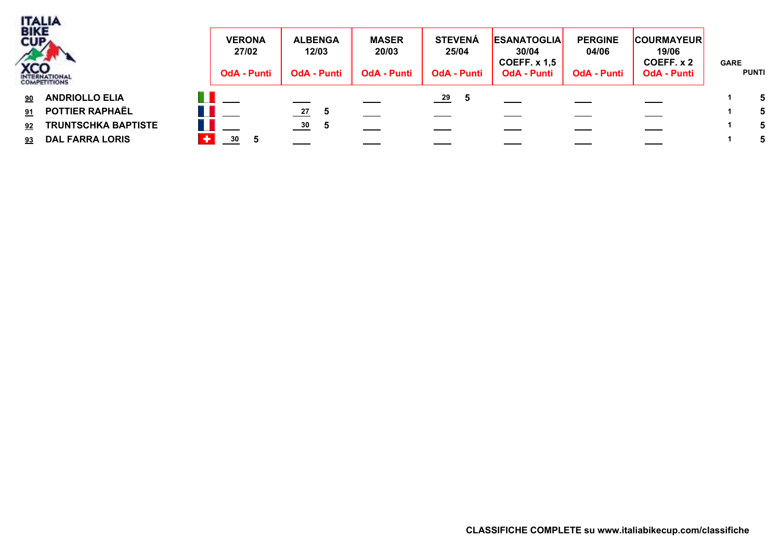

- 
- **91 POTTIER RAPHAËL 27 5 1 5 UN ESTERA**
- **92 TRUNTSCHKA BAPTISTE 30 5 1 5 UN ESTERA**
- **93 DAL FARRA LORIS 30 5 1 5 UN ESTERA**

| 3IKE<br>$U_{\mathsf{PA}}$<br><b>CO</b><br>TERNATIONAL | <b>VERONA</b><br>27/02<br><b>OdA - Punti</b> | <b>ALBENGA</b><br>12/03<br><b>OdA - Punti</b> | <b>MASER</b><br>20/03<br><b>OdA - Punti</b> | <b>STEVENÁ</b><br>25/04<br><b>OdA - Punti</b> | <b>ESANATOGLIA</b><br>30/04<br>COEFF. $x$ 1,5<br><b>OdA - Punti</b> | <b>PERGINE</b><br>04/06<br><b>OdA - Punti</b> | <b>COURMAYEUR</b><br>19/06<br>COEFF. x 2<br><b>OdA - Punti</b> | <b>GARE</b><br><b>PUNTI</b> |
|-------------------------------------------------------|----------------------------------------------|-----------------------------------------------|---------------------------------------------|-----------------------------------------------|---------------------------------------------------------------------|-----------------------------------------------|----------------------------------------------------------------|-----------------------------|
| ΠI<br><b>ANDRIOLLO ELIA</b><br>90                     |                                              |                                               |                                             | $\frac{29}{2}$                                |                                                                     |                                               |                                                                |                             |
| POTTIER RAPHAËL<br>91.                                |                                              | 27<br>-5                                      |                                             |                                               |                                                                     |                                               |                                                                |                             |
| <b>TRUNTSCHKA BAPTISTE</b><br>92                      |                                              | $\frac{30}{2}$<br>. ხ                         |                                             |                                               |                                                                     |                                               |                                                                |                             |
| <b>DAL FARRA LORIS</b><br>93                          | ٠<br>30                                      |                                               |                                             |                                               |                                                                     |                                               |                                                                |                             |
|                                                       |                                              |                                               |                                             |                                               |                                                                     |                                               |                                                                |                             |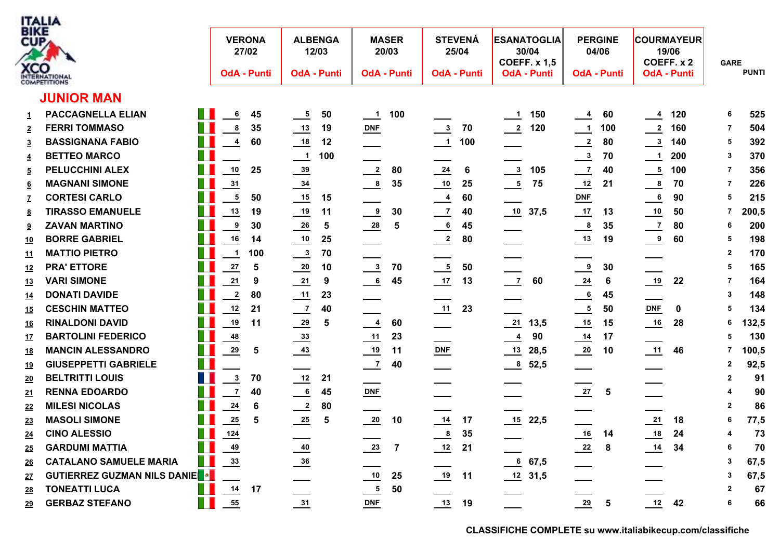

| 3 I K.E<br>CUP,<br><b>KCO</b> | TERNATIONAL<br><b>OMPETITIONS</b>        |     | <b>VERONA</b>           | 27/02<br><b>OdA - Punti</b> |                            | <b>ALBENGA</b><br>12/03<br><b>OdA - Punti</b> |                | <b>MASER</b><br>20/03<br><b>OdA - Punti</b> |                            | <b>STEVENÁ</b><br>25/04<br><b>OdA - Punti</b> |                      | <b>ESANATOGLIA</b><br>30/04<br><b>COEFF. x 1,5</b><br><b>OdA - Punti</b> | <b>PERGINE</b><br><b>OdA - Punti</b> | 04/06          |                             | <b>COURMAYEUR</b><br>19/06<br>COEFF. x 2<br><b>OdA - Punti</b> | <b>GARE</b>  | <b>PUNTI</b> |
|-------------------------------|------------------------------------------|-----|-------------------------|-----------------------------|----------------------------|-----------------------------------------------|----------------|---------------------------------------------|----------------------------|-----------------------------------------------|----------------------|--------------------------------------------------------------------------|--------------------------------------|----------------|-----------------------------|----------------------------------------------------------------|--------------|--------------|
|                               | <b>JUNIOR MAN</b>                        |     |                         |                             |                            |                                               |                |                                             |                            |                                               |                      |                                                                          |                                      |                |                             |                                                                |              |              |
| 1                             | <b>PACCAGNELLA ELIAN</b>                 | T I | 6                       | 45                          | $\frac{5}{2}$              | 50                                            | $\frac{1}{1}$  | 100                                         |                            |                                               | $\frac{1}{2}$        | 150                                                                      | $\overline{\phantom{0}4}$            | 60             | $\overline{4}$              | 120                                                            | 6            | 525          |
| $\overline{2}$                | <b>FERRI TOMMASO</b>                     | T   | $\overline{\mathbf{8}}$ | 35                          | $\frac{13}{2}$             | 19                                            | $DNF$          |                                             | $\frac{3}{2}$              | 70                                            | $\frac{2}{\sqrt{2}}$ | 120                                                                      | $\frac{1}{1}$ 100                    |                | $\frac{2}{2}$               | 160                                                            | -7           | 504          |
| $\overline{3}$                | <b>BASSIGNANA FABIO</b>                  | H   | $\overline{\mathbf{4}}$ | 60                          | $\frac{18}{1}$             | 12                                            |                |                                             | $\frac{1}{2}$              | 100                                           |                      |                                                                          | $\frac{2}{2}$                        | 80             | $\frac{3}{2}$               | 140                                                            | 5            | 392          |
| $\overline{4}$                | <b>BETTEO MARCO</b>                      | Ш   |                         |                             | $\frac{1}{\sqrt{1}}$       | 100                                           |                |                                             |                            |                                               |                      |                                                                          | $\frac{3}{2}$                        | 70             | $\overline{\mathbf{1}}$     | 200                                                            | 3            | 370          |
| $\overline{5}$                | <b>PELUCCHINI ALEX</b>                   | Ш   | $10\,$                  | 25                          | $\frac{39}{2}$             |                                               | $\frac{2}{2}$  | 80                                          | $\frac{24}{1}$             | 6                                             | $\frac{3}{2}$        | 105                                                                      | $\frac{7}{2}$                        | 40             | $\frac{5}{1}$               | 100                                                            | -7           | 356          |
| $6\overline{6}$               | <b>MAGNANI SIMONE</b>                    | H   | $\overline{31}$         |                             | $\frac{34}{1}$             |                                               | $\frac{8}{1}$  | 35                                          | $\overline{\phantom{0}10}$ | 25                                            | $\frac{5}{1}$        | 75                                                                       | 12                                   | 21             | $\frac{8}{1}$               | 70                                                             | 7            | 226          |
|                               | <b>CORTESI CARLO</b>                     |     | $\overline{\mathbf{5}}$ | 50                          | $\frac{15}{1}$             | 15                                            | __             |                                             | $\frac{4}{1}$              | 60                                            |                      |                                                                          | DNE                                  |                | $\bf 6$                     | 90                                                             | 5            | 215          |
| <u>8</u>                      | <b>TIRASSO EMANUELE</b>                  |     | $13$                    | 19                          | $\frac{19}{1}$             | 11                                            | $\frac{9}{2}$  | 30                                          | $\frac{7}{2}$              | 40                                            |                      | $\underline{10}$ 37,5                                                    | $\frac{17}{2}$                       | 13             | $\frac{10}{1}$              | 50                                                             | 7            | 200,5        |
| $\overline{\mathbf{a}}$       | <b>ZAVAN MARTINO</b>                     |     | 9                       | 30                          | $\frac{26}{1}$             | ${\bf 5}$                                     | $\frac{28}{1}$ | ${\bf 5}$                                   | $\frac{6}{1}$              | 45                                            |                      |                                                                          | $\frac{8}{1}$                        | 35             | $\frac{7}{2}$               | 80                                                             | 6            | 200          |
| <u> 10</u>                    | <b>BORRE GABRIEL</b>                     | n.  | $16$                    | 14                          | $\overline{\phantom{0}10}$ | 25                                            |                |                                             | $\frac{2}{\sqrt{2}}$       | 80                                            | ____                 |                                                                          | $\frac{13}{2}$                       | 19             | $\overline{\bullet}$        | 60                                                             | 5            | 198          |
| <u> 11</u>                    | <b>MATTIO PIETRO</b>                     | Ш   | $\overline{\mathbf{1}}$ | 100                         | $\frac{3}{2}$              | 70                                            |                |                                             |                            |                                               |                      |                                                                          |                                      |                |                             |                                                                | $\mathbf{2}$ | 170          |
| <u> 12</u>                    | <b>PRA' ETTORE</b>                       | Ш   | $\frac{27}{2}$          | 5                           | $\frac{20}{1}$             | 10                                            | $\frac{3}{2}$  | 70                                          | $\frac{5}{1}$              | 50                                            |                      |                                                                          | $\frac{9}{2}$                        | 30             |                             |                                                                | 5            | 165          |
| <u> 13</u>                    | <b>VARI SIMONE</b>                       | Ш   | 21                      | 9                           | $\frac{21}{2}$             | 9                                             | $\frac{6}{1}$  | 45                                          | $\frac{17}{2}$             | 13                                            | $\frac{7}{2}$        | 60                                                                       | $\frac{24}{1}$                       | 6              | $\frac{19}{1}$              | 22                                                             | -7           | 164          |
| <u> 14</u>                    | <b>DONATI DAVIDE</b>                     |     | $\mathbf{2}$            | 80                          | $\frac{11}{1}$             | 23                                            |                |                                             |                            |                                               |                      |                                                                          | $\frac{6}{1}$                        | 45             |                             |                                                                | 3            | 148          |
| <u> 15</u>                    | <b>CESCHIN MATTEO</b>                    | H   | $12$                    | 21                          | $\frac{7}{2}$              | 40                                            |                |                                             |                            | 23                                            |                      |                                                                          | $\frac{5}{2}$                        | 50             | <b>DNF</b>                  | 0                                                              | 5            | 134          |
| <u> 16</u>                    | <b>RINALDONI DAVID</b>                   | T.  | 19                      | 11                          | $\frac{29}{2}$             | $5\phantom{1}$                                | $\frac{4}{1}$  | 60                                          |                            |                                               |                      | $\frac{21}{13,5}$                                                        | $\frac{15}{1}$                       | 15             | $\underline{\phantom{0}16}$ | 28                                                             | 6            | 132,5        |
| <u> 17</u>                    | <b>BARTOLINI FEDERICO</b>                | H   | 48                      |                             | $\frac{33}{2}$             |                                               | $\frac{11}{1}$ | 23                                          |                            |                                               | $\frac{4}{1}$        | 90                                                                       |                                      | 17             |                             |                                                                | 5            | 130          |
| <u> 18</u>                    | <b>MANCIN ALESSANDRO</b>                 | T.  | $\frac{29}{2}$          | $\overline{\mathbf{5}}$     | $\frac{43}{1}$             |                                               | $\frac{19}{1}$ | 11                                          | $DNF$                      |                                               |                      | $13$ 28,5                                                                | $\frac{20}{1}$                       | 10             | 11                          | 46                                                             |              | 100,5        |
| <u> 19</u>                    | <b>GIUSEPPETTI GABRIELE</b>              | T.  |                         |                             |                            |                                               | $\frac{7}{2}$  | 40                                          |                            |                                               | $\frac{8}{1}$        | 52,5                                                                     |                                      |                |                             |                                                                | $\mathbf{2}$ | 92,5         |
| <u> 20</u>                    | <b>BELTRITTI LOUIS</b>                   |     | $\mathbf{3}$            | 70                          | $\frac{12}{1}$             | 21                                            |                |                                             |                            |                                               |                      |                                                                          |                                      |                |                             |                                                                | 2            | 91           |
| <u>21</u>                     | <b>RENNA EDOARDO</b>                     | Ш   | $\overline{7}$          | 40                          | $\frac{6}{1}$              | 45                                            | DNF            |                                             |                            |                                               |                      |                                                                          | $\frac{27}{2}$                       | 5              |                             |                                                                | 4            | 90           |
| <u>22</u>                     | <b>MILESI NICOLAS</b>                    | T.  | $\frac{24}{1}$          | 6                           | $\frac{2}{\sqrt{2}}$       | 80                                            |                |                                             |                            |                                               |                      |                                                                          |                                      |                |                             |                                                                | $\mathbf{2}$ | 86           |
| <u>23</u>                     | <b>MASOLI SIMONE</b>                     | Ш   | 25                      | 5                           | $\frac{25}{2}$             | ${\bf 5}$                                     | $\frac{20}{1}$ | 10                                          | $\frac{14}{1}$             | 17                                            |                      | <u>15</u> 22,5                                                           |                                      |                | $\frac{21}{1}$              | 18                                                             | 6            | 77,5         |
| <u> 24</u>                    | <b>CINO ALESSIO</b>                      | Ш   | $124$                   |                             |                            |                                               |                |                                             | $\frac{8}{1}$              | 35                                            |                      |                                                                          | 16                                   | 14             | $\frac{18}{1}$              | 24                                                             | 4            | 73           |
| <u> 25</u>                    | <b>GARDUMI MATTIA</b>                    |     | 49                      |                             | $\frac{40}{1}$             |                                               | $\frac{23}{2}$ | $\overline{7}$                              | $\frac{12}{ }$             | 21                                            |                      |                                                                          | $\frac{22}{2}$                       | 8              | $\frac{14}{1}$              | 34                                                             | 6            | 70           |
| <u> 26</u>                    | <b>CATALANO SAMUELE MARIA</b>            | Ш   | $\frac{33}{2}$          |                             | $\frac{36}{1}$             |                                               |                |                                             |                            |                                               |                      | 67,5                                                                     |                                      |                |                             |                                                                | 3            | 67,5         |
| <u>27</u>                     | GUTIERREZ GUZMAN NILS DANIE <sup>●</sup> |     |                         |                             |                            |                                               |                | 25                                          | $\frac{19}{2}$             | 11                                            |                      | $12$ 31,5                                                                |                                      |                |                             |                                                                | 3            | 67,5         |
| <u>28</u>                     | <b>TONEATTI LUCA</b>                     | H.  | $\frac{14}{1}$          | 17                          |                            |                                               | $\frac{5}{1}$  | 50                                          |                            |                                               |                      |                                                                          |                                      |                |                             |                                                                | $\mathbf{2}$ | 67           |
| <u> 29</u>                    | <b>GERBAZ STEFANO</b>                    | Ш   | 55                      |                             | 31                         |                                               | <b>DNF</b>     |                                             | 13                         | 19                                            |                      |                                                                          | 29                                   | $5\phantom{1}$ | 12                          | 42                                                             | 6            | 66           |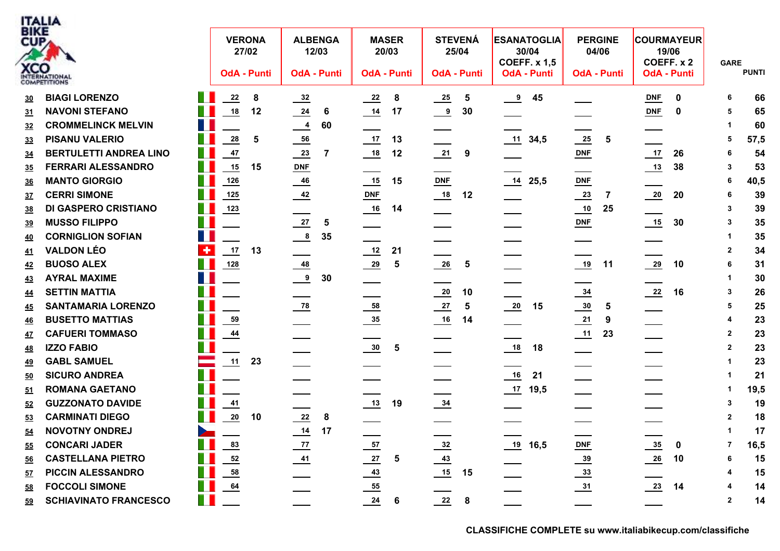

| 3 I K.E<br>CUP, | CO                            |                       | <b>VERONA</b><br>27/02<br><b>OdA - Punti</b> |    | <b>ALBENGA</b><br>12/03<br><b>OdA - Punti</b> |                |                | <b>MASER</b><br>20/03<br><b>OdA - Punti</b> |                | <b>STEVENÁ</b><br>25/04<br><b>OdA - Punti</b> |                | <b>ESANATOGLIA</b><br>30/04<br><b>COEFF. x 1,5</b><br><b>OdA - Punti</b> | <b>PERGINE</b><br>04/06<br><b>OdA - Punti</b> |                | <b>COURMAYEUR</b><br>19/06<br>COEFF. x 2<br><b>OdA - Punti</b> |             | <b>GARE</b>    | <b>PUNTI</b> |
|-----------------|-------------------------------|-----------------------|----------------------------------------------|----|-----------------------------------------------|----------------|----------------|---------------------------------------------|----------------|-----------------------------------------------|----------------|--------------------------------------------------------------------------|-----------------------------------------------|----------------|----------------------------------------------------------------|-------------|----------------|--------------|
|                 | <b>OMPETITIONS</b>            |                       |                                              |    |                                               |                |                |                                             |                |                                               |                |                                                                          |                                               |                |                                                                |             |                |              |
| <u>30</u>       | <b>BIAGI LORENZO</b>          | H I                   | $\frac{22}{2}$                               | 8  | $\frac{32}{2}$                                |                | $\frac{22}{2}$ | 8                                           | $\frac{25}{1}$ | 5                                             | 9              | 45                                                                       |                                               |                | <b>DNF</b>                                                     | $\mathbf 0$ | 6              | 66           |
| <u>31</u>       | <b>NAVONI STEFANO</b>         | H                     | ${\bf 18}$                                   | 12 | $\frac{24}{1}$                                | 6              | 14             | 17                                          | $\frac{9}{2}$  | 30                                            |                |                                                                          |                                               |                | <b>DNF</b>                                                     | 0           | 5              | 65           |
| <u>32</u>       | <b>CROMMELINCK MELVIN</b>     | H                     |                                              |    | $\frac{4}{1}$                                 | 60             |                |                                             |                |                                               |                |                                                                          |                                               |                |                                                                |             |                | 60           |
| <u>33</u>       | <b>PISANU VALERIO</b>         | Ш                     | $\frac{28}{1}$                               | 5  |                                               |                | $\frac{17}{1}$ | 13                                          |                |                                               | 11             | 34,5                                                                     | 25                                            | 5              |                                                                |             | 5              | 57,5         |
| <u>34</u>       | <b>BERTULETTI ANDREA LINO</b> | H                     | 47                                           |    | $\frac{23}{2}$                                | $\overline{7}$ | $\frac{18}{1}$ | 12                                          | $\frac{21}{2}$ | 9                                             |                |                                                                          | $DNF$                                         |                | 17                                                             | 26          | 6              | 54           |
| <u>35</u>       | <b>FERRARI ALESSANDRO</b>     | H                     | 15                                           | 15 | $DNF$                                         |                |                |                                             |                |                                               |                |                                                                          |                                               |                | $\frac{13}{1}$                                                 | 38          | 3              | 53           |
| <u>36</u>       | <b>MANTO GIORGIO</b>          | T.                    | <b>126</b>                                   |    | 46                                            |                |                | 15                                          | DNF            |                                               |                | $14$ 25,5                                                                | ${\sf DNF}$                                   |                |                                                                |             | 6              | 40,5         |
| <u>37</u>       | <b>CERRI SIMONE</b>           | T.                    | 125                                          |    | $\frac{42}{ }$                                |                | $DNF$          |                                             | 18             | 12                                            | ____           |                                                                          | $\frac{23}{2}$                                | $\overline{7}$ | $\frac{20}{1}$                                                 | 20          | 6              | 39           |
| <u>38</u>       | <b>DI GASPERO CRISTIANO</b>   | Ш                     | 123                                          |    |                                               |                | 16             | 14                                          |                |                                               |                |                                                                          | 10                                            | 25             |                                                                |             | 3              | 39           |
| <u>39</u>       | <b>MUSSO FILIPPO</b>          | T.                    |                                              |    | $\frac{27}{2}$                                | 5              |                |                                             |                |                                               |                |                                                                          | $DNF$                                         |                | 15                                                             | 30          | 3              | 35           |
| <u>40</u>       | <b>CORNIGLION SOFIAN</b>      | Ш                     |                                              |    | $\frac{8}{2}$                                 | 35             | ___            |                                             |                |                                               |                |                                                                          |                                               |                |                                                                |             |                | 35           |
| <u>41</u>       | <b>VALDON LÉO</b>             | $\bullet$             | $17$                                         | 13 |                                               |                | 12             | 21                                          |                |                                               |                |                                                                          |                                               |                |                                                                |             | $\mathbf{2}$   | 34           |
| <u>42</u>       | <b>BUOSO ALEX</b>             | T                     | <u>128</u>                                   |    | $\underline{48}$                              |                | $\frac{29}{2}$ | $\sqrt{5}$                                  | 26             | $\sqrt{5}$                                    |                |                                                                          | $\frac{19}{1}$                                | 11             | $\frac{29}{2}$                                                 | 10          | 6              | 31           |
| <u>43</u>       | T.<br><b>AYRAL MAXIME</b>     |                       |                                              |    | $\overline{\mathbf{e}}$                       | 30             |                |                                             |                |                                               |                |                                                                          |                                               |                |                                                                |             |                | 30           |
| <u>44</u>       | <b>SETTIN MATTIA</b>          | T.                    |                                              |    |                                               |                |                |                                             | $\frac{20}{1}$ | 10                                            |                |                                                                          | $\frac{34}{1}$                                |                | $\frac{22}{2}$                                                 | 16          | 3              | 26           |
| <u>45</u>       | <b>SANTAMARIA LORENZO</b>     | H                     |                                              |    | $\frac{78}{ }$                                |                | $\frac{58}{1}$ |                                             | $\frac{27}{2}$ | 5                                             | $\frac{20}{1}$ | 15                                                                       | $\frac{30}{2}$                                | 5              |                                                                |             | 5              | 25           |
| <u>46</u>       | <b>BUSETTO MATTIAS</b>        | $\mathbb{R}^n$        | <u>59</u>                                    |    |                                               |                | $\frac{35}{2}$ |                                             | $\frac{16}{1}$ | 14                                            |                |                                                                          | $\frac{21}{2}$                                | 9              |                                                                |             | 4              | 23           |
| <u>47</u>       | <b>CAFUERI TOMMASO</b>        | Ш                     | $\frac{44}{1}$                               |    |                                               |                |                |                                             |                |                                               |                |                                                                          | $\frac{11}{1}$                                | 23             |                                                                |             | $\overline{2}$ | 23           |
| <u>48</u>       | <b>IZZO FABIO</b>             | T.                    |                                              |    |                                               |                | $\frac{30}{2}$ | $5\phantom{.0}$                             |                |                                               |                | 18                                                                       |                                               |                |                                                                |             | $\overline{2}$ | 23           |
| <u>49</u>       | <b>GABL SAMUEL</b>            |                       | 11                                           | 23 |                                               |                |                |                                             |                |                                               |                |                                                                          |                                               |                |                                                                |             |                | 23           |
| 50              | <b>SICURO ANDREA</b>          | T.                    |                                              |    |                                               |                |                |                                             |                |                                               |                | 21                                                                       |                                               |                |                                                                |             |                | 21           |
| <u>51</u>       | <b>ROMANA GAETANO</b>         |                       |                                              |    |                                               |                |                |                                             |                |                                               | $17$ 19,5      |                                                                          |                                               |                |                                                                |             |                | 19,5         |
| <u>52</u>       | <b>GUZZONATO DAVIDE</b>       |                       | 41                                           |    |                                               |                | $\frac{13}{1}$ | 19                                          | $\frac{34}{1}$ |                                               |                |                                                                          |                                               |                |                                                                |             | 3              | 19           |
| <u>53</u>       | <b>CARMINATI DIEGO</b>        | H                     | 20                                           | 10 | $\frac{22}{2}$                                | $\pmb{8}$      |                |                                             |                |                                               |                |                                                                          |                                               |                |                                                                |             | $\mathbf{2}$   | 18           |
| <u>54</u>       | <b>NOVOTNY ONDREJ</b>         | $\blacktriangleright$ |                                              |    | $\frac{14}{15}$ 17                            |                |                |                                             |                |                                               |                |                                                                          |                                               |                |                                                                |             |                | 17           |
| <u>55</u>       | <b>CONCARI JADER</b>          | Ш                     | $\frac{83}{5}$                               |    | $\frac{77}{2}$                                |                | $\frac{57}{1}$ |                                             | $\frac{32}{ }$ |                                               |                | $19$ 16,5                                                                | <b>DNF</b>                                    |                | $\frac{35}{2}$                                                 | 0           |                | 16,5         |
| 56              | <b>CASTELLANA PIETRO</b>      | Ш                     | $\frac{52}{5}$                               |    | $\frac{41}{1}$                                |                | $\frac{27}{2}$ | 5                                           | $\frac{43}{2}$ |                                               |                |                                                                          | $\frac{39}{2}$                                |                | $\frac{26}{1}$                                                 | 10          | 6              | 15           |
| <u>57</u>       | PICCIN ALESSANDRO             | H.                    | 58                                           |    |                                               |                | $\frac{43}{1}$ |                                             |                | 15                                            |                |                                                                          | $\frac{33}{2}$                                |                |                                                                |             |                | 15           |
| <u>58</u>       | <b>FOCCOLI SIMONE</b>         | T.                    | 64                                           |    |                                               |                | $\frac{55}{1}$ |                                             |                |                                               |                |                                                                          | $\frac{31}{2}$                                |                | $\frac{23}{2}$                                                 | 14          |                | 14           |
| <u>59</u>       | <b>SCHIAVINATO FRANCESCO</b>  | $\mathbb{R}^n$        |                                              |    |                                               |                | $\frac{24}{1}$ | $6\phantom{1}6$                             | 22             | 8                                             |                |                                                                          |                                               |                |                                                                |             | $\mathbf{2}$   | 14           |
|                 |                               |                       |                                              |    |                                               |                |                |                                             |                |                                               |                |                                                                          |                                               |                |                                                                |             |                |              |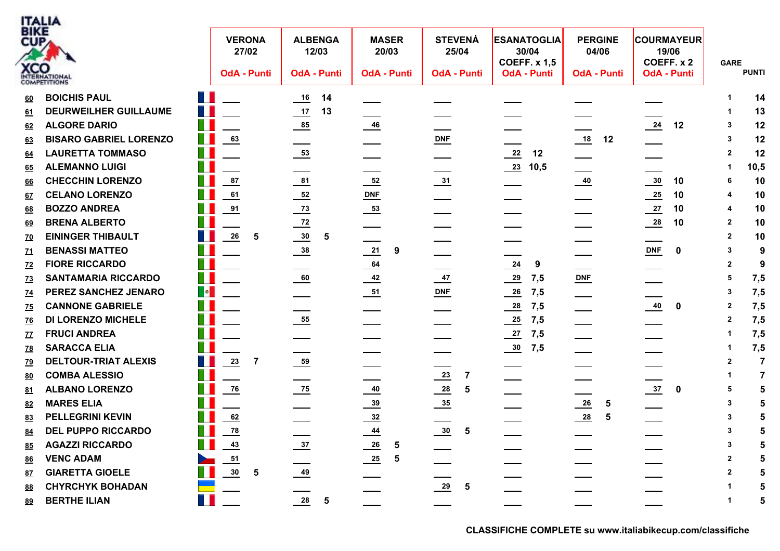

| <b>BIKE</b><br>CUP | <b>XCO</b><br>INTERNATIONAL   | <b>VERONA</b><br>27/02<br><b>OdA - Punti</b>                                                            |                | <b>ALBENGA</b><br>12/03<br><b>OdA - Punti</b> | <b>MASER</b><br>20/03<br><b>OdA - Punti</b> | <b>STEVENÁ</b><br>25/04<br><b>OdA - Punti</b> | <b>ESANATOGLIA</b><br>30/04<br><b>COEFF. x 1,5</b><br><b>OdA - Punti</b> | <b>PERGINE</b><br>04/06<br><b>OdA - Punti</b> | <b>COURMAYEUR</b><br>19/06<br>COEFF. x 2<br><b>OdA - Punti</b> | <b>GARE</b><br><b>PUNTI</b>      |
|--------------------|-------------------------------|---------------------------------------------------------------------------------------------------------|----------------|-----------------------------------------------|---------------------------------------------|-----------------------------------------------|--------------------------------------------------------------------------|-----------------------------------------------|----------------------------------------------------------------|----------------------------------|
| 60                 | <b>BOICHIS PAUL</b>           | H.                                                                                                      |                | $\underline{16}$<br>14                        |                                             |                                               |                                                                          |                                               |                                                                | 14                               |
| 61                 | <b>DEURWEILHER GUILLAUME</b>  | m.                                                                                                      |                | $\frac{17}{1}$<br>13                          |                                             |                                               |                                                                          |                                               |                                                                | 13                               |
| 62                 | <b>ALGORE DARIO</b>           |                                                                                                         |                | 85                                            | $\frac{46}{ }$                              |                                               |                                                                          |                                               | $\frac{24}{1}$<br>12                                           | 12<br>-3                         |
| 63                 | <b>BISARO GABRIEL LORENZO</b> | Ш<br>$\underline{63}$                                                                                   |                |                                               |                                             | DNF                                           |                                                                          | 18<br>12                                      |                                                                | 12<br>3                          |
| 64                 | <b>LAURETTA TOMMASO</b>       | H                                                                                                       |                |                                               |                                             |                                               | $\frac{22}{2}$<br>12                                                     |                                               |                                                                | 12<br>$\mathbf 2$                |
| <u>65</u>          | <b>ALEMANNO LUIGI</b>         |                                                                                                         |                |                                               |                                             |                                               | $\frac{23}{10,5}$                                                        |                                               |                                                                | 10,5<br>-1                       |
| 66                 | <b>CHECCHIN LORENZO</b>       | 87                                                                                                      |                | $\frac{81}{1}$                                | $rac{52}{1}$                                | $\frac{31}{2}$                                |                                                                          |                                               | $\frac{30}{2}$<br>10                                           | 10<br>6                          |
| 67                 | <b>CELANO LORENZO</b>         | 61                                                                                                      |                | $\frac{52}{ }$                                | DNE                                         |                                               |                                                                          |                                               | 25<br>10                                                       | 10<br>4                          |
| 68                 | <b>BOZZO ANDREA</b>           | 91                                                                                                      |                | $\frac{73}{ }$                                |                                             |                                               |                                                                          |                                               | $\frac{27}{2}$<br>10                                           | 10                               |
| 69                 | <b>BRENA ALBERTO</b>          |                                                                                                         |                | $\frac{72}{2}$                                |                                             |                                               |                                                                          |                                               | $\frac{28}{1}$<br>10                                           | 10<br>$\mathbf{2}$               |
| <u>70</u>          | <b>EININGER THIBAULT</b>      | 26                                                                                                      | -5             | $\frac{30}{2}$<br>5                           |                                             |                                               |                                                                          |                                               |                                                                | 10<br>$\mathbf{2}$               |
| <u>71</u>          | <b>BENASSI MATTEO</b>         |                                                                                                         |                | $\frac{38}{1}$                                | 21<br>9                                     |                                               |                                                                          |                                               | <b>DNF</b><br>$\bf{0}$                                         | 9<br>3                           |
| Z <sub>2</sub>     | <b>FIORE RICCARDO</b>         |                                                                                                         |                |                                               | 64                                          |                                               | $\frac{24}{1}$<br>9                                                      |                                               |                                                                | 9<br>$\mathbf{2}$                |
| <u>73</u>          | <b>SANTAMARIA RICCARDO</b>    | ш                                                                                                       |                | 60                                            | $\frac{42}{ }$                              | $\frac{47}{1}$                                | $\frac{29}{2}$<br>7,5                                                    | $DNF$                                         |                                                                | 7,5<br>5                         |
| <u>74</u>          | PEREZ SANCHEZ JENARO          | $\begin{array}{ c c } \hline \multicolumn{1}{ c }{\bullet} & \multicolumn{1}{ c }{\bullet} \end{array}$ |                |                                               |                                             | DNF                                           | $\frac{26}{1}$<br>7,5                                                    |                                               |                                                                | 7,5<br>з                         |
| <u>75</u>          | <b>CANNONE GABRIELE</b>       | Ш                                                                                                       |                |                                               |                                             |                                               | $\frac{28}{1}$<br>7,5                                                    |                                               | 40<br>0                                                        | 7,5<br>$\mathbf 2$               |
| <u>76</u>          | <b>DI LORENZO MICHELE</b>     |                                                                                                         |                | $\frac{55}{1}$                                |                                             |                                               | 7,5<br>$\frac{25}{2}$                                                    |                                               |                                                                | 7,5<br>$\mathbf{2}$              |
| Z                  | <b>FRUCI ANDREA</b>           |                                                                                                         |                |                                               |                                             |                                               | $\frac{27}{2}$<br>7,5                                                    |                                               |                                                                | 7,5<br>1                         |
| <u>78</u>          | <b>SARACCA ELIA</b>           |                                                                                                         |                |                                               |                                             |                                               | 7,5<br>$\frac{30}{2}$                                                    |                                               |                                                                | 7,5                              |
| <u>79</u>          | <b>DELTOUR-TRIAT ALEXIS</b>   | T.<br>$\frac{23}{2}$                                                                                    | $\overline{7}$ | $\frac{59}{2}$                                |                                             |                                               |                                                                          |                                               |                                                                | $\overline{7}$<br>$\overline{2}$ |
| 80                 | <b>COMBA ALESSIO</b>          |                                                                                                         |                |                                               |                                             | $\frac{23}{2}$<br>7                           |                                                                          |                                               |                                                                | $\overline{7}$                   |
| 81                 | <b>ALBANO LORENZO</b>         | 76                                                                                                      |                | $\frac{75}{2}$                                | $\frac{40}{1}$                              | $\frac{28}{1}$<br>5                           |                                                                          |                                               | $\frac{37}{2}$<br>0                                            | 5<br>5                           |
| 82                 | <b>MARES ELIA</b>             |                                                                                                         |                |                                               | $\frac{39}{2}$                              | $\frac{35}{2}$                                |                                                                          | $\frac{26}{1}$<br>5                           |                                                                | 3                                |
| 83                 | <b>PELLEGRINI KEVIN</b>       | 62                                                                                                      |                |                                               | $\frac{32}{2}$                              |                                               |                                                                          | $\frac{28}{1}$<br>5                           |                                                                | 3                                |
| 84                 | <b>DEL PUPPO RICCARDO</b>     | $\frac{78}{ }$                                                                                          |                |                                               | $\frac{44}{1}$                              | $\frac{30}{2}$<br>5                           |                                                                          |                                               |                                                                | 3                                |
| 85                 | <b>AGAZZI RICCARDO</b>        | $\frac{43}{1}$                                                                                          |                | $\frac{37}{2}$                                | $\frac{26}{1}$<br>5                         |                                               |                                                                          |                                               |                                                                |                                  |
| <u>86</u>          | <b>VENC ADAM</b>              | 51                                                                                                      |                |                                               | $\frac{25}{2}$<br>5                         |                                               |                                                                          |                                               |                                                                | 5<br>2                           |
| 87                 | <b>GIARETTA GIOELE</b>        | 30                                                                                                      | 5              | $\frac{49}{1}$                                |                                             |                                               |                                                                          |                                               |                                                                | 2                                |
| 88                 | <b>CHYRCHYK BOHADAN</b>       |                                                                                                         |                |                                               |                                             | $\frac{29}{2}$<br>5                           |                                                                          |                                               |                                                                |                                  |
| 89                 | <b>BERTHE ILIAN</b>           | T I                                                                                                     |                | 28<br>$\sqrt{5}$                              |                                             |                                               |                                                                          |                                               |                                                                | 5                                |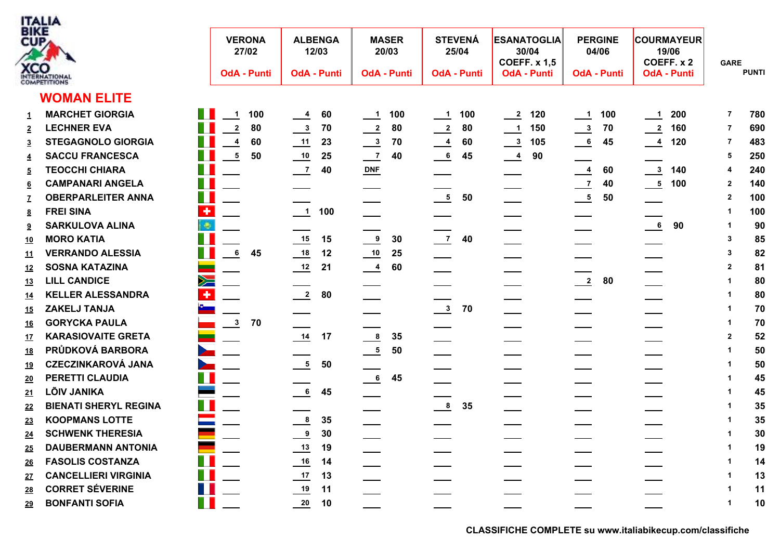

| 3 IK E<br>CUP,<br><b>KCO</b> | TERNATIONAL<br><b>OMPETITIONS</b>           |               | <b>VERONA</b><br>27/02<br><b>OdA - Punti</b> |    | <b>ALBENGA</b><br>12/03<br><b>OdA - Punti</b> |     |                | <b>MASER</b><br>20/03<br><b>OdA - Punti</b> |                            | <b>STEVENÁ</b><br>25/04<br><b>OdA - Punti</b> |               | <b>ESANATOGLIA</b><br>30/04<br><b>COEFF. x 1,5</b><br><b>OdA - Punti</b> | <b>PERGINE</b><br>04/06<br><b>OdA - Punti</b> |    |                            | <b>COURMAYEUR</b><br>19/06<br>COEFF. x 2<br><b>OdA - Punti</b> | <b>GARE</b>    | <b>PUNTI</b> |
|------------------------------|---------------------------------------------|---------------|----------------------------------------------|----|-----------------------------------------------|-----|----------------|---------------------------------------------|----------------------------|-----------------------------------------------|---------------|--------------------------------------------------------------------------|-----------------------------------------------|----|----------------------------|----------------------------------------------------------------|----------------|--------------|
|                              | <b>WOMAN ELITE</b>                          |               |                                              |    |                                               |     |                |                                             |                            |                                               |               |                                                                          |                                               |    |                            |                                                                |                |              |
| $\mathbf{1}$                 | <b>MARCHET GIORGIA</b>                      | n n           | 100<br>$\overline{1}$                        |    | $\frac{4}{}$                                  | 60  | $\frac{1}{1}$  | 100                                         | $\overline{\phantom{0}}$ 1 | 100                                           | $\frac{2}{2}$ | 120                                                                      | $\frac{1}{2}$ 100                             |    | $\overline{\phantom{0}}$ 1 | 200                                                            | $\overline{7}$ | 780          |
| $\overline{2}$               | <b>LECHNER EVA</b>                          |               | $\overline{\mathbf{2}}$                      | 80 | $\frac{3}{2}$                                 | 70  | $\frac{2}{2}$  | 80                                          | $\frac{2}{2}$              | 80                                            | $\frac{1}{2}$ | 150                                                                      | $\frac{3}{2}$                                 | 70 | $\frac{2}{160}$            |                                                                | -7             | 690          |
| $\overline{3}$               | Ш<br><b>STEGAGNOLO GIORGIA</b>              |               | $\overline{\mathbf{4}}$                      | 60 |                                               | 23  | $\frac{3}{2}$  | 70                                          | $\frac{4}{1}$              | 60                                            | $\frac{3}{2}$ | 105                                                                      | $\overline{\phantom{0}}$ 6                    | 45 | $\frac{4}{120}$            |                                                                | -7             | 483          |
| $\overline{4}$               | T I<br><b>SACCU FRANCESCA</b>               |               | $\overline{\phantom{a}}$                     | 50 | $\overline{10}$                               | 25  | $\frac{7}{2}$  | 40                                          | $\frac{6}{1}$              | 45                                            | $\frac{4}{1}$ | 90                                                                       |                                               |    |                            |                                                                | 5              | 250          |
| $\overline{5}$               | H<br><b>TEOCCHI CHIARA</b>                  |               |                                              |    | $\overline{z}$                                | 40  | $DNF$          |                                             |                            |                                               |               |                                                                          | $\frac{4}{1}$                                 | 60 |                            | $\frac{3}{140}$                                                | 4              | 240          |
| 6                            | T.<br><b>CAMPANARI ANGELA</b>               |               |                                              |    |                                               |     |                |                                             |                            |                                               |               |                                                                          | $\frac{7}{2}$                                 | 40 | $\frac{5}{100}$ 100        |                                                                | $\mathbf{2}$   | 140          |
|                              | T.<br><b>OBERPARLEITER ANNA</b>             |               |                                              |    |                                               |     |                |                                             | $\frac{5}{2}$              | 50                                            |               |                                                                          | $\frac{5}{2}$                                 | 50 |                            |                                                                | $\mathbf{2}$   | 100          |
| <u>8</u>                     | $\overline{\textbf{r}}$<br><b>FREI SINA</b> |               |                                              |    | $\overline{\phantom{a}}$                      | 100 |                |                                             |                            |                                               |               |                                                                          |                                               |    |                            |                                                                | -1             | 100          |
| $\overline{\mathbf{a}}$      | <b>SARKULOVA ALINA</b>                      | i Or          |                                              |    |                                               |     |                |                                             |                            |                                               |               |                                                                          |                                               |    | $\frac{6}{1}$              | 90                                                             | -1             | 90           |
| <u> 10</u>                   | <b>MORO KATIA</b>                           |               |                                              |    | $\frac{15}{1}$                                | 15  | $^{9}$         | 30                                          | $\frac{7}{2}$              | 40                                            |               |                                                                          |                                               |    |                            |                                                                | -3             | 85           |
| <u> 11</u>                   | <b>VERRANDO ALESSIA</b>                     |               | 6                                            | 45 | 18                                            | 12  | $\frac{10}{1}$ | 25                                          |                            |                                               |               |                                                                          |                                               |    |                            |                                                                | 3              | 82           |
| <u> 12</u>                   | <b>SOSNA KATAZINA</b>                       | ═             |                                              |    | 12                                            | 21  | $\frac{4}{}$   | 60                                          |                            |                                               | ___           |                                                                          |                                               |    |                            |                                                                | $\mathbf{2}$   | 81           |
| <u> 13</u>                   | <b>LILL CANDICE</b>                         | $\geqslant$   |                                              |    |                                               |     |                |                                             |                            |                                               |               |                                                                          | $\frac{2}{\sqrt{2}}$                          | 80 |                            |                                                                | -1             | 80           |
| <u> 14</u>                   | <b>KELLER ALESSANDRA</b>                    | ٠             |                                              |    | $\frac{2}{2}$                                 | 80  |                |                                             |                            |                                               |               |                                                                          |                                               |    |                            |                                                                |                | 80           |
| <u> 15</u>                   | ZAKELJ TANJA                                |               |                                              |    |                                               |     |                |                                             | $\frac{3}{2}$              | 70                                            |               |                                                                          |                                               |    |                            |                                                                | -1             | 70           |
| <u> 16</u>                   | <b>GORYCKA PAULA</b>                        |               | $\frac{3}{2}$                                | 70 |                                               |     |                |                                             |                            |                                               |               |                                                                          |                                               |    |                            |                                                                |                | 70           |
| <u> 17</u>                   | <b>KARASIOVAITE GRETA</b>                   | $\mathcal{L}$ |                                              |    | 14                                            | 17  | $\frac{8}{1}$  | 35                                          |                            |                                               |               |                                                                          |                                               |    |                            |                                                                | $\overline{2}$ | 52           |
| <u> 18</u>                   | PRŮDKOVÁ BARBORA                            |               |                                              |    |                                               |     | $\frac{5}{2}$  | 50                                          |                            |                                               |               |                                                                          |                                               |    |                            |                                                                |                | 50           |
|                              | <b>CZECZINKAROVÁ JANA</b><br>$\geq$         |               |                                              |    | $\frac{5}{2}$                                 | 50  |                |                                             |                            |                                               |               |                                                                          |                                               |    |                            |                                                                |                | 50           |
| <u> 20</u>                   | W<br>PERETTI CLAUDIA                        |               |                                              |    |                                               |     | $\frac{6}{1}$  | 45                                          |                            |                                               |               |                                                                          |                                               |    |                            |                                                                | -1             | 45           |
| <u> 21</u>                   | <b>LÕIV JANIKA</b>                          |               |                                              |    | 6                                             | 45  |                |                                             |                            |                                               |               |                                                                          |                                               |    |                            |                                                                |                | 45           |
| 22                           | <b>BIENATI SHERYL REGINA</b>                |               |                                              |    |                                               |     |                |                                             | $\frac{8}{1}$              | 35                                            |               |                                                                          |                                               |    |                            |                                                                |                | 35           |
| <u>23</u>                    | <b>KOOPMANS LOTTE</b>                       |               |                                              |    | $\frac{8}{1}$                                 | 35  |                |                                             |                            |                                               |               |                                                                          |                                               |    |                            |                                                                |                | 35           |
| <u>24</u>                    | <b>SCHWENK THERESIA</b>                     |               |                                              |    | $\frac{9}{2}$                                 | 30  |                |                                             |                            |                                               |               |                                                                          |                                               |    |                            |                                                                |                | 30           |
| <u> 25</u>                   | a.<br><b>DAUBERMANN ANTONIA</b>             |               |                                              |    | $\frac{13}{2}$                                | 19  |                |                                             |                            |                                               |               |                                                                          |                                               |    |                            |                                                                |                | 19           |
| <u> 26</u>                   | T.<br><b>FASOLIS COSTANZA</b>               |               |                                              |    |                                               | 14  |                |                                             |                            |                                               |               |                                                                          |                                               |    |                            |                                                                |                | 14           |
| <u>27</u>                    | W<br><b>CANCELLIERI VIRGINIA</b>            |               |                                              |    | $\underline{\qquad 17}$                       | 13  |                |                                             |                            |                                               |               |                                                                          |                                               |    |                            |                                                                |                | 13           |
| <u>28</u>                    | H<br><b>CORRET SÉVERINE</b>                 |               |                                              |    | $\frac{19}{1}$                                | 11  |                |                                             |                            |                                               |               |                                                                          |                                               |    |                            |                                                                |                | 11           |
| <u> 29</u>                   | Ш<br><b>BONFANTI SOFIA</b>                  |               |                                              |    | 20                                            | 10  |                |                                             |                            |                                               |               |                                                                          |                                               |    |                            |                                                                |                | 10           |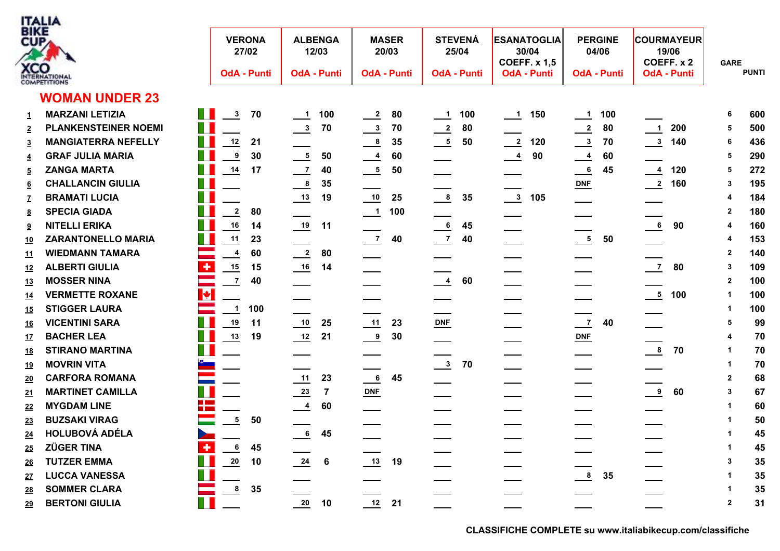

| 3 I K.E<br>CUP, | CO                          |                                     | <b>VERONA</b><br>27/02 |     | <b>ALBENGA</b><br>12/03 |                | 20/03                    | <b>MASER</b>       |                            | <b>STEVENÁ</b><br>25/04 |                      | <b>ESANATOGLIA</b><br>30/04<br><b>COEFF. x 1,5</b> | <b>PERGINE</b><br>04/06 |    |                            | <b>COURMAYEUR</b><br>19/06<br>COEFF. x 2 | <b>GARE</b>             | <b>PUNTI</b> |
|-----------------|-----------------------------|-------------------------------------|------------------------|-----|-------------------------|----------------|--------------------------|--------------------|----------------------------|-------------------------|----------------------|----------------------------------------------------|-------------------------|----|----------------------------|------------------------------------------|-------------------------|--------------|
|                 | <b>OMPETITIONS</b>          |                                     | <b>OdA - Punti</b>     |     | <b>OdA - Punti</b>      |                |                          | <b>OdA - Punti</b> |                            | <b>OdA - Punti</b>      |                      | <b>OdA - Punti</b>                                 | <b>OdA - Punti</b>      |    |                            | <b>OdA - Punti</b>                       |                         |              |
|                 | <b>WOMAN UNDER 23</b>       |                                     |                        |     |                         |                |                          |                    |                            |                         |                      |                                                    |                         |    |                            |                                          |                         |              |
| 1               | <b>MARZANI LETIZIA</b>      | H                                   | $\frac{3}{2}$          | 70  | $\frac{1}{2}$ 100       |                | $\frac{2}{2}$            | 80                 | $\overline{\phantom{0}}$ 1 | 100                     | $\frac{1}{\sqrt{1}}$ | 150                                                | $\frac{1}{2}$ 100       |    |                            |                                          | 6                       | 600          |
|                 | <b>PLANKENSTEINER NOEMI</b> | T.                                  |                        |     | $\frac{3}{2}$           | 70             | $\frac{3}{2}$            | 70                 | $\frac{2}{\sqrt{2}}$       | 80                      |                      |                                                    | $\frac{2}{2}$           | 80 | $\overline{\phantom{0}}$   | 200                                      | 5                       | 500          |
| $\overline{3}$  | <b>MANGIATERRA NEFELLY</b>  | T.                                  | 12                     | 21  |                         |                | $\frac{8}{1}$            | 35                 | $\frac{5}{2}$              | 50                      | $\frac{2}{2}$        | 120                                                | $\frac{3}{2}$           | 70 | $\frac{3}{140}$            |                                          | 6                       | 436          |
| $\overline{4}$  | <b>GRAF JULIA MARIA</b>     | T.                                  | 9                      | 30  | $\frac{5}{2}$           | 50             | $\frac{4}{1}$            | 60                 |                            |                         | $\frac{4}{1}$        | 90                                                 | $\frac{4}{1}$           | 60 |                            |                                          | 5                       | 290          |
| $\overline{5}$  | <b>ZANGA MARTA</b>          | T                                   | 14                     | 17  | $\frac{7}{2}$           | 40             | $\frac{5}{2}$            | 50                 |                            |                         |                      |                                                    | $\frac{6}{1}$           | 45 | $\frac{4}{120}$            |                                          | 5                       | 272          |
| 6               | <b>CHALLANCIN GIULIA</b>    | T.                                  |                        |     | $\frac{8}{1}$           | 35             |                          |                    |                            |                         |                      |                                                    | $DNF$                   |    | $\frac{2}{160}$            |                                          | 3                       | 195          |
|                 | <b>BRAMATI LUCIA</b>        | T.                                  |                        |     | $\frac{13}{1}$          | 19             | 10                       | 25                 | $\frac{8}{2}$              | 35                      | $\frac{3}{105}$      |                                                    |                         |    |                            |                                          |                         | 184          |
| <u>8</u>        | <b>SPECIA GIADA</b>         |                                     | $\mathbf{2}$           | 80  |                         |                | $\overline{\phantom{0}}$ | 100                |                            |                         |                      |                                                    |                         |    |                            |                                          | 2                       | 180          |
| 9               | <b>NITELLI ERIKA</b>        |                                     | 16                     | 14  |                         | 11             |                          |                    | $\frac{6}{1}$              | 45                      |                      |                                                    |                         |    | $\overline{\phantom{a}}$ 6 | 90                                       | 4                       | 160          |
| <u> 10</u>      | <b>ZARANTONELLO MARIA</b>   | T. J                                | 11                     | 23  |                         |                | $\frac{7}{2}$            | 40                 | $\frac{7}{2}$              | 40                      |                      |                                                    | $\frac{5}{1}$           | 50 |                            |                                          | 4                       | 153          |
| <u> 11</u>      | <b>WIEDMANN TAMARA</b>      | ═                                   | $\overline{4}$         | 60  | $\frac{2}{2}$           | 80             | $\overline{\phantom{a}}$ |                    | ____                       |                         |                      |                                                    |                         |    |                            |                                          | $\overline{\mathbf{2}}$ | 140          |
| <u> 12</u>      | <b>ALBERTI GIULIA</b>       | $\bullet$                           | 15                     | 15  | $\underline{16}$        | 14             |                          |                    |                            |                         |                      |                                                    |                         |    | $\overline{7}$             | 80                                       | 3                       | 109          |
| <u> 13</u>      | <b>MOSSER NINA</b>          |                                     | $\overline{1}$         | 40  |                         |                |                          |                    | $\frac{4}{1}$              | 60                      |                      |                                                    |                         |    |                            |                                          | $\mathbf{2}$            | 100          |
| <u> 14</u>      | <b>VERMETTE ROXANE</b>      | $\blacktriangleright$               |                        |     |                         |                |                          |                    |                            |                         |                      |                                                    | ____                    |    |                            |                                          | $\mathbf 1$             | 100          |
| <u> 15</u>      | <b>STIGGER LAURA</b>        |                                     | $\overline{1}$         | 100 |                         |                |                          |                    |                            |                         |                      |                                                    |                         |    |                            |                                          | -1                      | 100          |
| <u>16</u>       | <b>VICENTINI SARA</b>       | T.                                  | 19                     | 11  | 10                      | 25             | 11                       | 23                 | $DNF$                      |                         |                      |                                                    | $\frac{7}{2}$           | 40 |                            |                                          | 5                       | 99           |
| <u> 17</u>      | <b>BACHER LEA</b>           | T.                                  | $\underline{13}$       | 19  | 12                      | 21             | $\frac{9}{2}$            | 30                 |                            |                         |                      |                                                    | $DNF$                   |    |                            |                                          |                         | 70           |
| <u> 18</u>      | <b>STIRANO MARTINA</b>      | Ш                                   |                        |     |                         |                |                          |                    |                            |                         |                      |                                                    |                         |    | $\frac{8}{1}$              | 70                                       |                         | 70           |
| <u> 19</u>      | <b>MOVRIN VITA</b>          |                                     |                        |     |                         |                |                          |                    | $\frac{3}{2}$              | 70                      |                      |                                                    |                         |    |                            |                                          | -1                      | 70           |
| <u> 20</u>      | <b>CARFORA ROMANA</b>       |                                     |                        |     | 11                      | 23             | 6                        | 45                 |                            |                         |                      |                                                    |                         |    |                            |                                          | $\overline{2}$          | 68           |
| <u>21</u>       | <b>MARTINET CAMILLA</b>     |                                     |                        |     | $\frac{23}{2}$          | $\overline{7}$ | $DNF$                    |                    |                            |                         |                      |                                                    |                         |    | $^{9}$                     | 60                                       | 3                       | 67           |
| 22              | <b>MYGDAM LINE</b>          | <b>The Company</b><br><b>The Co</b> |                        |     | $\frac{4}{1}$           | 60             |                          |                    |                            |                         |                      |                                                    |                         |    |                            |                                          | -1                      | 60           |
| <u>23</u>       | <b>BUZSAKI VIRAG</b>        |                                     | $\overline{5}$         | 50  |                         |                |                          |                    |                            |                         |                      |                                                    |                         |    |                            |                                          |                         | 50           |
| <u>24</u>       | <b>HOLUBOVÁ ADÉLA</b>       |                                     |                        |     | $6\phantom{.}6$         | 45             |                          |                    |                            |                         |                      |                                                    |                         |    |                            |                                          |                         | 45           |
| <u> 25</u>      | <b>ZÜGER TINA</b>           | ÷                                   | $6\phantom{1}6$        | 45  |                         |                |                          |                    |                            |                         |                      |                                                    |                         |    |                            |                                          |                         | 45           |
| <u> 26</u>      | <b>TUTZER EMMA</b>          | E.                                  | 20                     | 10  | $\frac{24}{1}$          | 6              | 13                       | 19                 |                            |                         |                      |                                                    |                         |    |                            |                                          | 3                       | 35           |
| <u>27</u>       | <b>LUCCA VANESSA</b>        | W                                   |                        |     |                         |                |                          |                    |                            |                         |                      |                                                    | $\frac{8}{1}$           | 35 |                            |                                          |                         | 35           |
| <u>28</u>       | <b>SOMMER CLARA</b>         | e.                                  | $\boldsymbol{8}$       | 35  |                         |                |                          |                    |                            |                         |                      |                                                    |                         |    |                            |                                          |                         | 35           |
| <u> 29</u>      | <b>BERTONI GIULIA</b>       | П                                   |                        |     | 20                      | 10             | $12$ 21                  |                    |                            |                         |                      |                                                    |                         |    |                            |                                          | $\overline{2}$          | 31           |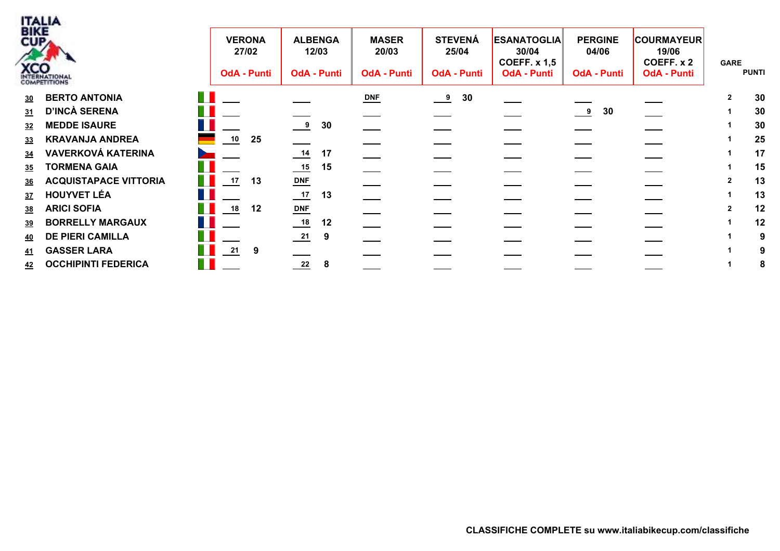

| <b>BIKE</b> | <b>XCO</b><br>INTERNATIONAL |        | <b>VERONA</b><br>27/02<br><b>OdA - Punti</b> |    | <b>ALBENGA</b><br>12/03<br><b>OdA - Punti</b> |    | <b>MASER</b><br>20/03<br><b>OdA - Punti</b> | <b>STEVENÁ</b><br>25/04<br><b>OdA - Punti</b> | <b>ESANATOGLIA</b><br>30/04<br><b>COEFF. x 1,5</b><br><b>OdA - Punti</b> | <b>PERGINE</b><br>04/06<br><b>OdA - Punti</b> | <b>COURMAYEUR</b><br>19/06<br>COEFF. x 2<br><b>OdA - Punti</b> | <b>GARE</b> | <b>PUNTI</b> |
|-------------|-----------------------------|--------|----------------------------------------------|----|-----------------------------------------------|----|---------------------------------------------|-----------------------------------------------|--------------------------------------------------------------------------|-----------------------------------------------|----------------------------------------------------------------|-------------|--------------|
|             | 30 BERTO ANTONIA            |        |                                              |    |                                               |    | $DNF$                                       | 30<br>$\frac{9}{2}$                           |                                                                          |                                               |                                                                |             | 30           |
| 31          | D'INCÀ SERENA               |        |                                              |    |                                               |    |                                             |                                               |                                                                          | 30<br>$\frac{9}{2}$                           |                                                                |             | 30           |
| <u>32</u>   | <b>MEDDE ISAURE</b>         |        |                                              |    | 9                                             | 30 |                                             |                                               |                                                                          |                                               |                                                                |             | 30           |
| <u>33</u>   | <b>KRAVANJA ANDREA</b>      |        | 10                                           | 25 |                                               |    |                                             |                                               |                                                                          |                                               |                                                                |             | 25           |
| 34          | <b>VAVERKOVÁ KATERINA</b>   |        |                                              |    | 14                                            | 17 |                                             |                                               |                                                                          |                                               |                                                                |             | 17           |
| <u>35</u>   | <b>TORMENA GAIA</b>         |        |                                              |    | $\underline{\phantom{0}15}$                   | 15 |                                             |                                               |                                                                          |                                               |                                                                |             | 15           |
|             | 36 ACQUISTAPACE VITTORIA    | a sa   | 17                                           | 13 | $DNF$                                         |    |                                             |                                               |                                                                          |                                               |                                                                |             | 13           |
|             | 37 HOUYVET LÉA              |        |                                              |    | $\frac{17}{2}$                                | 13 |                                             |                                               |                                                                          |                                               |                                                                |             | 13           |
| 38          | <b>ARICI SOFIA</b>          |        | 18                                           | 12 | $DNF$                                         |    |                                             |                                               |                                                                          |                                               |                                                                |             | 12           |
| <u>39</u>   | <b>BORRELLY MARGAUX</b>     |        |                                              |    |                                               | 12 |                                             |                                               |                                                                          |                                               |                                                                |             | 12           |
|             | 40 DE PIERI CAMILLA         |        |                                              |    | $\frac{21}{2}$                                | 9  |                                             |                                               |                                                                          |                                               |                                                                |             | -9           |
| <u>41</u>   | <b>GASSER LARA</b>          |        | 21                                           | 9  |                                               |    |                                             |                                               |                                                                          |                                               |                                                                |             |              |
|             | 42 OCCHIPINTI FEDERICA      | a sa n |                                              |    | $\frac{22}{2}$                                | 8  |                                             |                                               |                                                                          |                                               |                                                                |             | ō            |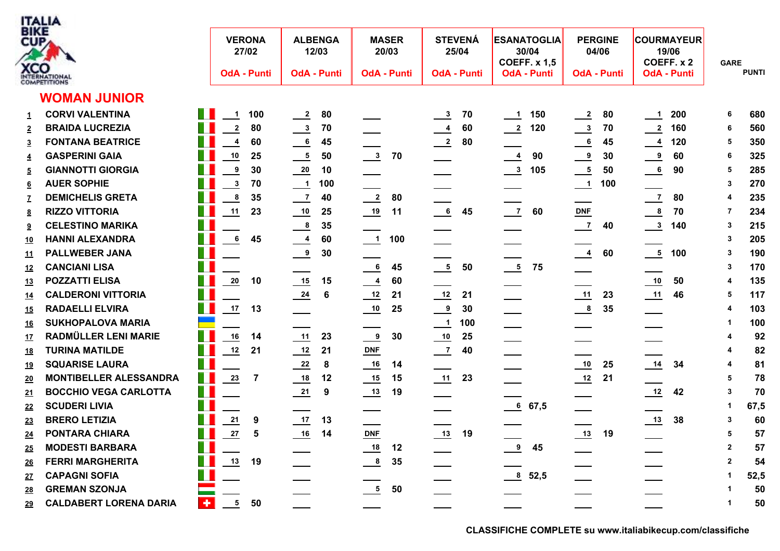

| BIKE<br>CUP                      | <b>XCO</b><br>INTERNATIONAL   |   | <b>VERONA</b><br><b>OdA - Punti</b> | 27/02          | <b>ALBENGA</b>             | 12/03<br><b>OdA - Punti</b> | 20/03<br><b>OdA - Punti</b> | <b>MASER</b> |                                       | <b>STEVENÁ</b><br>25/04<br><b>OdA - Punti</b> |                            | <b>ESANATOGLIA</b><br>30/04<br><b>COEFF. x 1,5</b><br><b>OdA - Punti</b> | 04/06<br><b>OdA - Punti</b>           | <b>PERGINE</b> |                                | <b>COURMAYEUR</b><br>19/06<br>COEFF. x 2<br><b>OdA - Punti</b> | <b>GARE</b>  | <b>PUNTI</b> |
|----------------------------------|-------------------------------|---|-------------------------------------|----------------|----------------------------|-----------------------------|-----------------------------|--------------|---------------------------------------|-----------------------------------------------|----------------------------|--------------------------------------------------------------------------|---------------------------------------|----------------|--------------------------------|----------------------------------------------------------------|--------------|--------------|
|                                  | <b>WOMAN JUNIOR</b>           |   |                                     |                |                            |                             |                             |              |                                       |                                               |                            |                                                                          |                                       |                |                                |                                                                |              |              |
|                                  | <b>CORVI VALENTINA</b>        |   | $\mathbf{1}$                        | 100            | $\overline{\phantom{0}2}$  | 80                          |                             |              |                                       | 70                                            | $\overline{\phantom{0}}$ 1 | 150                                                                      |                                       | 80             | $\frac{1}{1}$                  | 200                                                            | 6            | 680          |
| $\mathbf{1}$<br>$\overline{2}$   | <b>BRAIDA LUCREZIA</b>        |   | $\mathbf 2$                         | 80             | $\frac{3}{2}$              | 70                          |                             |              | $\frac{3}{2}$                         | 60                                            | $\frac{2}{2}$              | 120                                                                      | $\frac{2}{\sqrt{2}}$<br>$\frac{3}{2}$ | 70             |                                | 160                                                            | 6            | 560          |
|                                  | <b>FONTANA BEATRICE</b>       |   | $\boldsymbol{4}$                    | 60             | $\frac{6}{1}$              | 45                          |                             |              | $\frac{4}{1}$<br>$\frac{2}{\sqrt{2}}$ | 80                                            |                            |                                                                          | 6                                     | 45             | $\frac{2}{2}$<br>$\frac{4}{1}$ | 120                                                            | 5            | 350          |
| $\overline{3}$                   | <b>GASPERINI GAIA</b>         |   | $10\,$                              | 25             | $\frac{5}{1}$              | 50                          | $\frac{3}{2}$               | 70           |                                       |                                               | $\frac{4}{1}$              | 90                                                                       | $\overline{9}$                        | 30             | $\frac{9}{2}$                  | 60                                                             | 6            | 325          |
| $\overline{4}$<br>$\overline{5}$ | <b>GIANNOTTI GIORGIA</b>      |   | 9                                   | 30             | $\frac{20}{1}$             | 10                          |                             |              | --                                    |                                               | $\frac{3}{2}$              | 105                                                                      |                                       | 50             |                                | 90                                                             | 5            | 285          |
|                                  | <b>AUER SOPHIE</b>            |   | $\mathbf{3}$                        | 70             | $\frac{1}{\sqrt{1}}$       | 100                         |                             |              |                                       |                                               |                            |                                                                          | $\frac{5}{2}$<br>$\frac{1}{2}$        | 100            | $\overline{\phantom{a}}$       |                                                                | 3            | 270          |
| <u>6</u><br>$\mathbf{Z}$         | <b>DEMICHELIS GRETA</b>       |   | $\pmb{8}$                           | 35             | $\frac{7}{2}$              | 40                          | $\frac{2}{2}$               | 80           |                                       |                                               |                            |                                                                          |                                       |                | $\overline{1}$                 | 80                                                             | 4            | 235          |
| 8                                | <b>RIZZO VITTORIA</b>         |   | 11                                  | 23             | $\overline{\phantom{0}10}$ | 25                          | $\frac{19}{1}$              | 11           | 6                                     | 45                                            | $\frac{7}{2}$              | 60                                                                       | $DNF$                                 |                | $\overline{\mathbf{8}}$        | 70                                                             | 7            | 234          |
| 9                                | <b>CELESTINO MARIKA</b>       |   |                                     |                | $\frac{8}{1}$              | 35                          |                             |              |                                       |                                               |                            |                                                                          | $\overline{\phantom{0}}$              | 40             | $\frac{3}{2}$                  | 140                                                            | 3            | 215          |
| <u>10</u>                        | <b>HANNI ALEXANDRA</b>        |   | $\bf 6$                             | 45             | $\frac{4}{1}$              | 60                          | $\frac{1}{2}$               | 100          |                                       |                                               |                            |                                                                          |                                       |                |                                |                                                                | 3            | 205          |
| <u>11</u>                        | <b>PALLWEBER JANA</b>         |   |                                     |                | $\frac{9}{2}$              | 30                          |                             |              |                                       |                                               |                            |                                                                          | $\frac{4}{1}$                         | 60             | $\frac{5}{1}$                  | 100                                                            | 3            | 190          |
| 12                               | <b>CANCIANI LISA</b>          |   |                                     |                |                            |                             | $\frac{6}{1}$               | 45           | $\frac{5}{2}$                         | 50                                            | $\frac{5}{1}$              | 75                                                                       |                                       |                |                                |                                                                | 3            | 170          |
| 13                               | <b>POZZATTI ELISA</b>         |   | 20                                  | 10             | 15                         | 15                          | $\frac{4}{1}$               | 60           |                                       |                                               |                            |                                                                          |                                       |                | $\overline{\phantom{0}10}$     | 50                                                             | 4            | 135          |
| <u>14</u>                        | <b>CALDERONI VITTORIA</b>     |   |                                     |                | $\frac{24}{1}$             | 6                           | $\frac{12}{1}$              | 21           | $\frac{12}{ }$                        | 21                                            |                            |                                                                          | 11                                    | 23             | $\frac{11}{1}$                 | 46                                                             | 5            | 117          |
| <u>15</u>                        | <b>RADAELLI ELVIRA</b>        |   | 17                                  | 13             |                            |                             | $\frac{10}{1}$              | 25           | $\frac{9}{2}$                         | 30                                            |                            |                                                                          | $\frac{8}{1}$                         | 35             |                                |                                                                | 4            | 103          |
| <u>16</u>                        | <b>SUKHOPALOVA MARIA</b>      |   |                                     |                |                            |                             |                             |              | $\frac{1}{1}$                         | 100                                           | —                          |                                                                          |                                       |                |                                |                                                                |              | 100          |
| 17                               | <b>RADMÜLLER LENI MARIE</b>   |   | 16                                  | 14             | 11                         | 23                          | $\frac{9}{2}$               | 30           | $\frac{10}{1}$                        | 25                                            |                            |                                                                          |                                       |                |                                |                                                                |              | 92           |
| <u>18</u>                        | <b>TURINA MATILDE</b>         |   | 12                                  | 21             | $\frac{12}{1}$             | 21                          | $DNF$                       |              | $\overline{\phantom{0}}$              | 40                                            |                            |                                                                          |                                       |                |                                |                                                                |              | 82           |
| 19                               | <b>SQUARISE LAURA</b>         |   |                                     |                | $\frac{22}{2}$             | 8                           | $\frac{16}{1}$              | 14           |                                       |                                               |                            |                                                                          | $\overline{\phantom{0}10}$            | 25             | $\frac{14}{1}$                 | 34                                                             |              | 81           |
| 20                               | <b>MONTIBELLER ALESSANDRA</b> |   | 23                                  | 7              | $\frac{18}{1}$             | 12                          | $\frac{15}{1}$              | 15           |                                       | 23                                            |                            |                                                                          | $\frac{12}{1}$                        | 21             |                                |                                                                | 5            | 78           |
| 21                               | <b>BOCCHIO VEGA CARLOTTA</b>  |   |                                     |                | $\frac{21}{2}$             | 9                           | $\frac{13}{2}$              | 19           |                                       |                                               |                            |                                                                          |                                       |                | $\frac{12}{1}$                 | 42                                                             | $\mathbf{3}$ | 70           |
| 22                               | <b>SCUDERI LIVIA</b>          |   |                                     |                |                            |                             |                             |              |                                       |                                               |                            | 67,5                                                                     |                                       |                |                                |                                                                | -1           | 67,5         |
| 23                               | <b>BRERO LETIZIA</b>          |   | ${\bf 21}$                          | 9              | $\frac{17}{1}$             | 13                          |                             |              |                                       |                                               |                            |                                                                          |                                       |                | $\frac{13}{2}$                 | 38                                                             | 3            | 60           |
| 24                               | <b>PONTARA CHIARA</b>         |   | ${\bf 27}$                          | $5\phantom{1}$ | $\frac{16}{1}$             | 14                          | $DNF$                       |              | $\frac{13}{2}$                        | 19                                            |                            |                                                                          | $\frac{13}{1}$                        | 19             |                                |                                                                | 5            | 57           |
| 25                               | <b>MODESTI BARBARA</b>        |   |                                     |                |                            |                             | $\frac{18}{1}$              | 12           |                                       |                                               | $\frac{9}{2}$              | 45                                                                       |                                       |                |                                |                                                                | $\mathbf{2}$ | 57           |
| 26                               | <b>FERRI MARGHERITA</b>       |   | 13                                  | 19             |                            |                             | $\frac{8}{1}$               | 35           |                                       |                                               |                            |                                                                          |                                       |                |                                |                                                                | $\mathbf{2}$ | 54           |
| 27                               | <b>CAPAGNI SOFIA</b>          |   |                                     |                |                            |                             |                             |              |                                       |                                               | 8, 52, 5                   |                                                                          |                                       |                |                                |                                                                |              | 52,5         |
| <u>28</u>                        | <b>GREMAN SZONJA</b>          |   |                                     |                |                            |                             | $\frac{5}{1}$               | 50           |                                       |                                               |                            |                                                                          |                                       |                |                                |                                                                |              | 50           |
| 29                               | <b>CALDABERT LORENA DARIA</b> | ۰ | 5                                   | 50             |                            |                             |                             |              |                                       |                                               |                            |                                                                          |                                       |                |                                |                                                                |              | 50           |